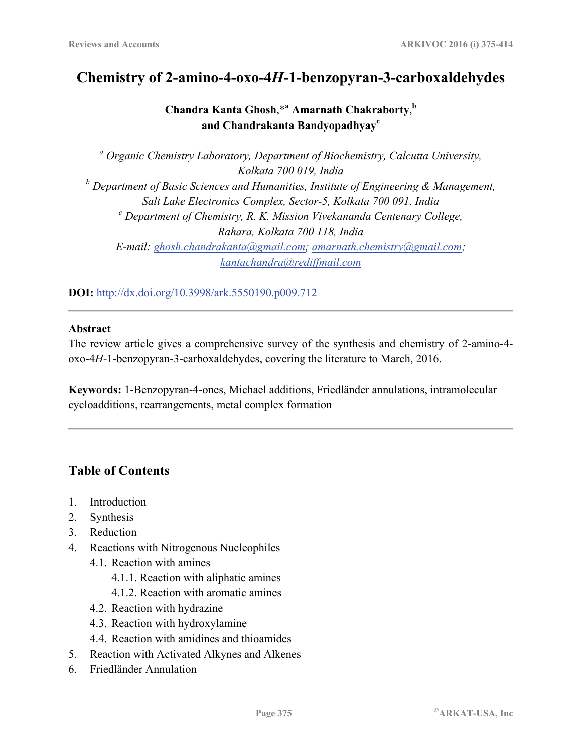# **Chemistry of 2-amino-4-oxo-4***H***-1-benzopyran-3-carboxaldehydes**

Chandra Kanta Ghosh, \*<sup>a</sup> Amarnath Chakraborty,  $\frac{b}{b}$ **and Chandrakanta Bandyopadhyay<sup>c</sup>**

*a Organic Chemistry Laboratory, Department of Biochemistry, Calcutta University, Kolkata 700 019, India b Department of Basic Sciences and Humanities, Institute of Engineering & Management, Salt Lake Electronics Complex, Sector-5, Kolkata 700 091, India c Department of Chemistry, R. K. Mission Vivekananda Centenary College, Rahara, Kolkata 700 118, India E-mail: ghosh.chandrakanta@gmail.com; amarnath.chemistry@gmail.com; kantachandra@rediffmail.com* 

**DOI:** http://dx.doi.org/10.3998/ark.5550190.p009.712

#### **Abstract**

The review article gives a comprehensive survey of the synthesis and chemistry of 2-amino-4 oxo-4*H-*1-benzopyran-3-carboxaldehydes, covering the literature to March, 2016.

**Keywords:** 1-Benzopyran-4-ones, Michael additions, Friedländer annulations, intramolecular cycloadditions, rearrangements, metal complex formation

## **Table of Contents**

- 1. Introduction
- 2. Synthesis
- 3. Reduction
- 4. Reactions with Nitrogenous Nucleophiles
	- 4.1. Reaction with amines
		- 4.1.1. Reaction with aliphatic amines
		- 4.1.2. Reaction with aromatic amines
	- 4.2. Reaction with hydrazine
	- 4.3. Reaction with hydroxylamine
	- 4.4. Reaction with amidines and thioamides
- 5. Reaction with Activated Alkynes and Alkenes
- 6. Friedländer Annulation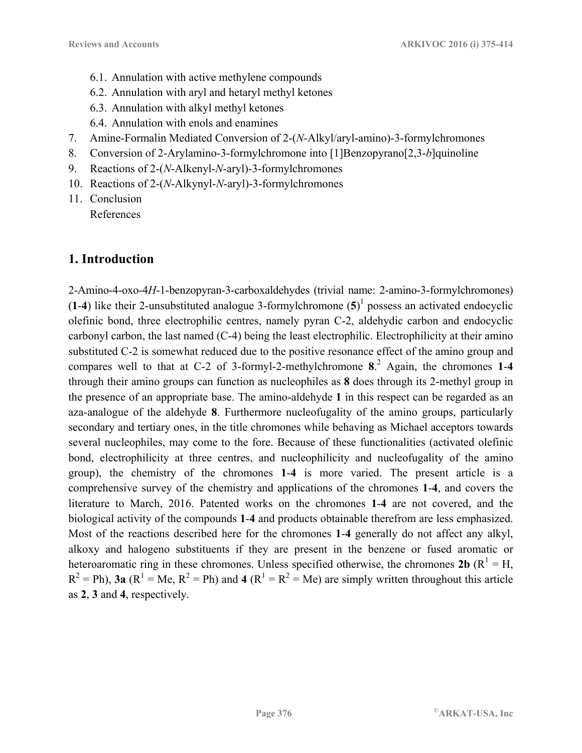- 6.1. Annulation with active methylene compounds
- 6.2. Annulation with aryl and hetaryl methyl ketones
- 6.3. Annulation with alkyl methyl ketones
- 6.4. Annulation with enols and enamines
- 7. Amine-Formalin Mediated Conversion of 2-(*N*-Alkyl/aryl-amino)-3-formylchromones
- 8. Conversion of 2-Arylamino-3-formylchromone into [1]Benzopyrano[2,3-*b*]quinoline
- 9. Reactions of 2-(*N*-Alkenyl-*N*-aryl)-3-formylchromones
- 10. Reactions of 2-(*N*-Alkynyl-*N*-aryl)-3-formylchromones
- 11. Conclusion References

## **1. Introduction**

2-Amino-4-oxo-4*H*-1-benzopyran-3-carboxaldehydes (trivial name: 2-amino-3-formylchromones)  $(1-4)$  like their 2-unsubstituted analogue 3-formylchromone  $(5)^1$  possess an activated endocyclic olefinic bond, three electrophilic centres, namely pyran C-2, aldehydic carbon and endocyclic carbonyl carbon, the last named (C-4) being the least electrophilic. Electrophilicity at their amino substituted C-2 is somewhat reduced due to the positive resonance effect of the amino group and compares well to that at C-2 of 3-formyl-2-methylchromone **8**. 2 Again, the chromones **1**-**4** through their amino groups can function as nucleophiles as **8** does through its 2-methyl group in the presence of an appropriate base. The amino-aldehyde **1** in this respect can be regarded as an aza-analogue of the aldehyde **8**. Furthermore nucleofugality of the amino groups, particularly secondary and tertiary ones, in the title chromones while behaving as Michael acceptors towards several nucleophiles, may come to the fore. Because of these functionalities (activated olefinic bond, electrophilicity at three centres, and nucleophilicity and nucleofugality of the amino group), the chemistry of the chromones **1**-**4** is more varied. The present article is a comprehensive survey of the chemistry and applications of the chromones **1**-**4**, and covers the literature to March, 2016. Patented works on the chromones **1**-**4** are not covered, and the biological activity of the compounds **1**-**4** and products obtainable therefrom are less emphasized. Most of the reactions described here for the chromones **1**-**4** generally do not affect any alkyl, alkoxy and halogeno substituents if they are present in the benzene or fused aromatic or heteroaromatic ring in these chromones. Unless specified otherwise, the chromones  $2b (R^1 = H,$  $R^2 = Ph$ , **3a** ( $R^1 = Me$ ,  $R^2 = Ph$ ) and **4** ( $R^1 = R^2 = Me$ ) are simply written throughout this article as **2**, **3** and **4**, respectively.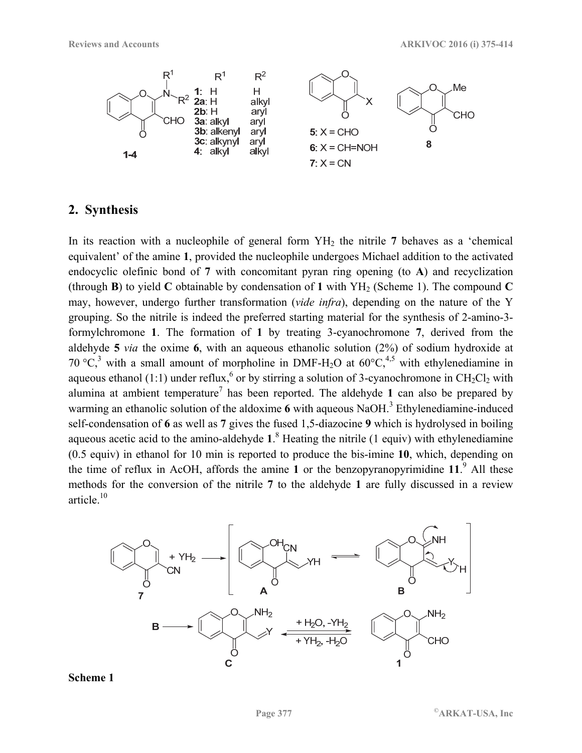

### **2. Synthesis**

In its reaction with a nucleophile of general form YH<sub>2</sub> the nitrile 7 behaves as a 'chemical equivalent' of the amine **1**, provided the nucleophile undergoes Michael addition to the activated endocyclic olefinic bond of **7** with concomitant pyran ring opening (to **A**) and recyclization (through **B**) to yield **C** obtainable by condensation of 1 with  $YH_2$  (Scheme 1). The compound **C** may, however, undergo further transformation (*vide infra*), depending on the nature of the Y grouping. So the nitrile is indeed the preferred starting material for the synthesis of 2-amino-3 formylchromone **1**. The formation of **1** by treating 3-cyanochromone **7**, derived from the aldehyde **5** *via* the oxime **6**, with an aqueous ethanolic solution (2%) of sodium hydroxide at 70 °C,<sup>3</sup> with a small amount of morpholine in DMF-H<sub>2</sub>O at  $60^{\circ}$ C,<sup>4,5</sup> with ethylenediamine in aqueous ethanol (1:1) under reflux,  $6$  or by stirring a solution of 3-cyanochromone in CH<sub>2</sub>Cl<sub>2</sub> with alumina at ambient temperature<sup>7</sup> has been reported. The aldehyde 1 can also be prepared by warming an ethanolic solution of the aldoxime 6 with aqueous NaOH.<sup>3</sup> Ethylenediamine-induced self-condensation of **6** as well as **7** gives the fused 1,5-diazocine **9** which is hydrolysed in boiling aqueous acetic acid to the amino-aldehyde **1**. 8 Heating the nitrile (1 equiv) with ethylenediamine (0.5 equiv) in ethanol for 10 min is reported to produce the bis-imine **10**, which, depending on the time of reflux in AcOH, affords the amine **1** or the benzopyranopyrimidine **11**. 9 All these methods for the conversion of the nitrile **7** to the aldehyde **1** are fully discussed in a review article.10



**Scheme 1**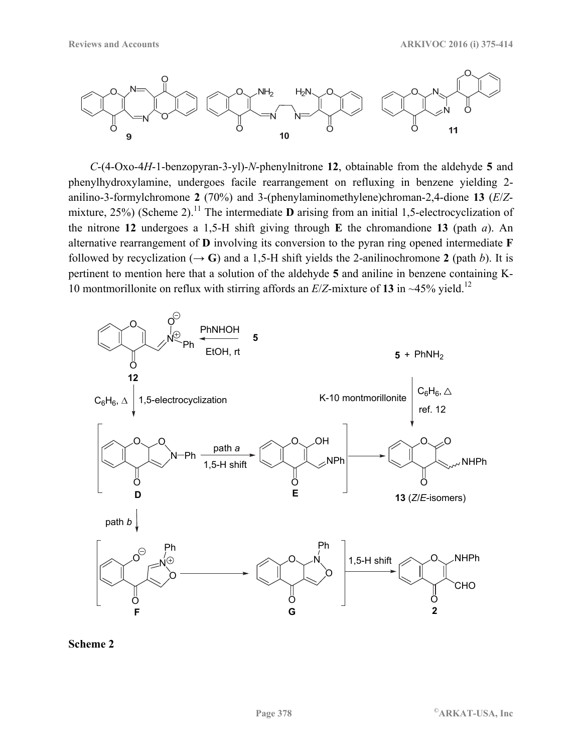

*C*-(4-Oxo-4*H*-1-benzopyran-3-yl)-*N*-phenylnitrone **12**, obtainable from the aldehyde **5** and phenylhydroxylamine, undergoes facile rearrangement on refluxing in benzene yielding 2 anilino-3-formylchromone **2** (70%) and 3-(phenylaminomethylene)chroman-2,4-dione **13** (*E*/*Z*mixture,  $25\%$ ) (Scheme 2).<sup>11</sup> The intermediate **D** arising from an initial 1,5-electrocyclization of the nitrone **12** undergoes a 1,5-H shift giving through **E** the chromandione **13** (path *a*). An alternative rearrangement of **D** involving its conversion to the pyran ring opened intermediate **F** followed by recyclization  $(\rightarrow G)$  and a 1,5-H shift yields the 2-anilinochromone 2 (path *b*). It is pertinent to mention here that a solution of the aldehyde **5** and aniline in benzene containing K-10 montmorillonite on reflux with stirring affords an  $E/Z$ -mixture of 13 in ~45% yield.<sup>12</sup>



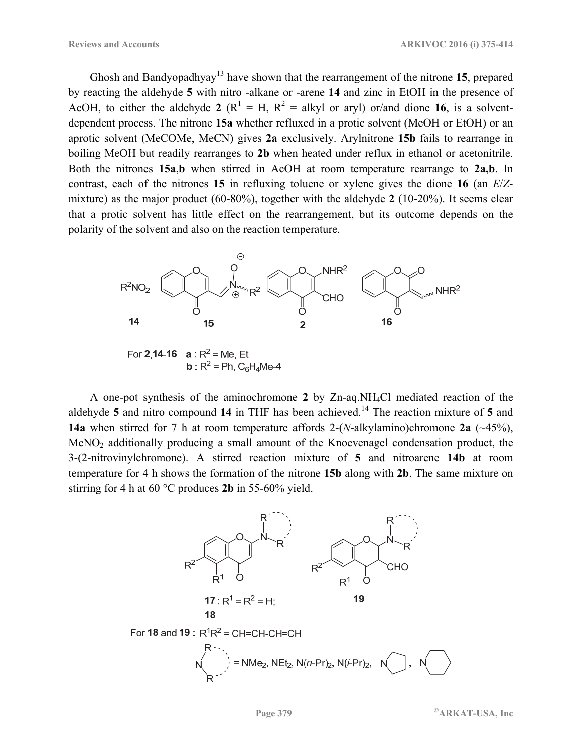Ghosh and Bandyopadhyay<sup>13</sup> have shown that the rearrangement of the nitrone 15, prepared by reacting the aldehyde **5** with nitro -alkane or -arene **14** and zinc in EtOH in the presence of AcOH, to either the aldehyde 2 ( $R^1 = H$ ,  $R^2 =$  alkyl or aryl) or/and dione 16, is a solventdependent process. The nitrone **15a** whether refluxed in a protic solvent (MeOH or EtOH) or an aprotic solvent (MeCOMe, MeCN) gives **2a** exclusively. Arylnitrone **15b** fails to rearrange in boiling MeOH but readily rearranges to **2b** when heated under reflux in ethanol or acetonitrile. Both the nitrones **15a**,**b** when stirred in AcOH at room temperature rearrange to **2a,b**. In contrast, each of the nitrones **15** in refluxing toluene or xylene gives the dione **16** (an *E*/*Z*mixture) as the major product (60-80%), together with the aldehyde **2** (10-20%). It seems clear that a protic solvent has little effect on the rearrangement, but its outcome depends on the polarity of the solvent and also on the reaction temperature.



For **2,14-16 a** : R<sup>2</sup> = Me, Et<br>**b** : R<sup>2</sup> = Ph, C<sub>6</sub>H<sub>4</sub>Me-4

A one-pot synthesis of the aminochromone **2** by Zn-aq.NH4Cl mediated reaction of the aldehyde 5 and nitro compound 14 in THF has been achieved.<sup>14</sup> The reaction mixture of 5 and **14a** when stirred for 7 h at room temperature affords 2-(*N*-alkylamino)chromone **2a** (~45%), MeNO2 additionally producing a small amount of the Knoevenagel condensation product, the 3-(2-nitrovinylchromone). A stirred reaction mixture of **5** and nitroarene **14b** at room temperature for 4 h shows the formation of the nitrone **15b** along with **2b**. The same mixture on stirring for 4 h at 60 °C produces **2b** in 55-60% yield.

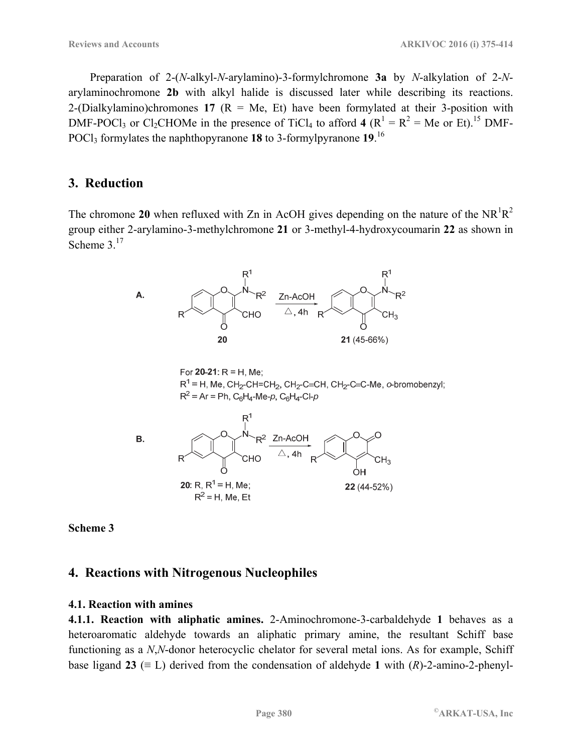Preparation of 2-(*N*-alkyl-*N*-arylamino)-3-formylchromone **3a** by *N*-alkylation of 2-*N*arylaminochromone **2b** with alkyl halide is discussed later while describing its reactions. 2-(Dialkylamino)chromones 17 ( $R = Me$ , Et) have been formylated at their 3-position with DMF-POCl<sub>3</sub> or Cl<sub>2</sub>CHOMe in the presence of TiCl<sub>4</sub> to afford **4** ( $R^1 = R^2 = Me$  or Et).<sup>15</sup> DMF-POCl3 formylates the naphthopyranone **18** to 3-formylpyranone **19**. 16

#### **3. Reduction**

The chromone 20 when refluxed with Zn in AcOH gives depending on the nature of the  $NR^1R^2$ group either 2-arylamino-3-methylchromone **21** or 3-methyl-4-hydroxycoumarin **22** as shown in Scheme 3<sup>17</sup>



**Scheme 3** 

### **4. Reactions with Nitrogenous Nucleophiles**

#### **4.1. Reaction with amines**

**4.1.1. Reaction with aliphatic amines.** 2-Aminochromone-3-carbaldehyde **1** behaves as a heteroaromatic aldehyde towards an aliphatic primary amine, the resultant Schiff base functioning as a *N*,*N*-donor heterocyclic chelator for several metal ions. As for example, Schiff base ligand 23  $(\equiv L)$  derived from the condensation of aldehyde 1 with  $(R)$ -2-amino-2-phenyl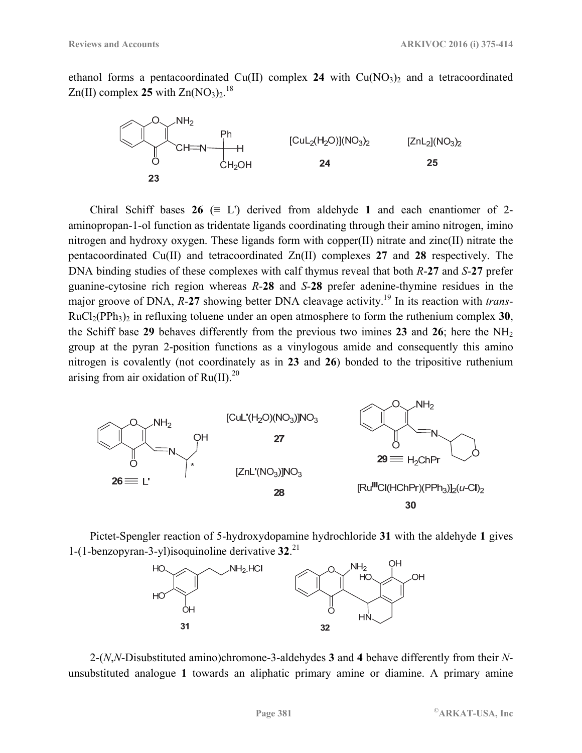ethanol forms a pentacoordinated Cu(II) complex 24 with  $Cu(NO<sub>3</sub>)<sub>2</sub>$  and a tetracoordinated  $Zn(II)$  complex 25 with  $Zn(NO<sub>3</sub>)<sub>2</sub>$ .<sup>18</sup>



Chiral Schiff bases  $26 \equiv L'$  derived from aldehyde 1 and each enantiomer of 2aminopropan-1-ol function as tridentate ligands coordinating through their amino nitrogen, imino nitrogen and hydroxy oxygen. These ligands form with copper(II) nitrate and zinc(II) nitrate the pentacoordinated Cu(II) and tetracoordinated Zn(II) complexes **27** and **28** respectively. The DNA binding studies of these complexes with calf thymus reveal that both *R*-**27** and *S*-**27** prefer guanine-cytosine rich region whereas *R*-**28** and *S*-**28** prefer adenine-thymine residues in the major groove of DNA, *R*-27 showing better DNA cleavage activity.<sup>19</sup> In its reaction with *trans*- $RuCl<sub>2</sub>(PPh<sub>3</sub>)<sub>2</sub>$  in refluxing toluene under an open atmosphere to form the ruthenium complex **30**, the Schiff base **29** behaves differently from the previous two imines **23** and **26**; here the NH2 group at the pyran 2-position functions as a vinylogous amide and consequently this amino nitrogen is covalently (not coordinately as in **23** and **26**) bonded to the tripositive ruthenium arising from air oxidation of  $Ru(II).^{20}$ 



Pictet-Spengler reaction of 5-hydroxydopamine hydrochloride **31** with the aldehyde **1** gives 1-(1-benzopyran-3-yl)isoquinoline derivative **32**. 21



2-(*N*,*N*-Disubstituted amino)chromone-3-aldehydes **3** and **4** behave differently from their *N*unsubstituted analogue **1** towards an aliphatic primary amine or diamine. A primary amine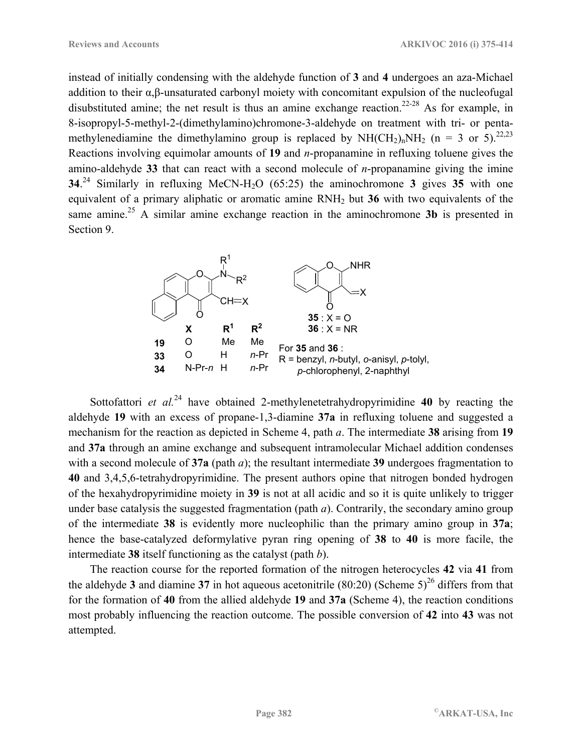instead of initially condensing with the aldehyde function of **3** and **4** undergoes an aza-Michael addition to their α,β-unsaturated carbonyl moiety with concomitant expulsion of the nucleofugal disubstituted amine; the net result is thus an amine exchange reaction.<sup>22-28</sup> As for example, in 8-isopropyl-5-methyl-2-(dimethylamino)chromone-3-aldehyde on treatment with tri- or pentamethylenediamine the dimethylamino group is replaced by  $NH(CH_2)_nNH_2$  (n = 3 or 5).<sup>22,23</sup> Reactions involving equimolar amounts of **19** and *n*-propanamine in refluxing toluene gives the amino-aldehyde **33** that can react with a second molecule of *n*-propanamine giving the imine **34.**<sup>24</sup> Similarly in refluxing MeCN-H<sub>2</sub>O (65:25) the aminochromone **3** gives **35** with one equivalent of a primary aliphatic or aromatic amine RNH2 but **36** with two equivalents of the same amine.<sup>25</sup> A similar amine exchange reaction in the aminochromone **3b** is presented in Section 9.



Sottofattori *et al.*<sup>24</sup> have obtained 2-methylenetetrahydropyrimidine 40 by reacting the aldehyde **19** with an excess of propane-1,3-diamine **37a** in refluxing toluene and suggested a mechanism for the reaction as depicted in Scheme 4, path *a*. The intermediate **38** arising from **19** and **37a** through an amine exchange and subsequent intramolecular Michael addition condenses with a second molecule of **37a** (path *a*); the resultant intermediate **39** undergoes fragmentation to **40** and 3,4,5,6-tetrahydropyrimidine. The present authors opine that nitrogen bonded hydrogen of the hexahydropyrimidine moiety in **39** is not at all acidic and so it is quite unlikely to trigger under base catalysis the suggested fragmentation (path *a*). Contrarily, the secondary amino group of the intermediate **38** is evidently more nucleophilic than the primary amino group in **37a**; hence the base-catalyzed deformylative pyran ring opening of **38** to **40** is more facile, the intermediate **38** itself functioning as the catalyst (path *b*).

The reaction course for the reported formation of the nitrogen heterocycles **42** via **41** from the aldehyde  $3$  and diamine  $37$  in hot aqueous acetonitrile (80:20) (Scheme  $5)^{26}$  differs from that for the formation of **40** from the allied aldehyde **19** and **37a** (Scheme 4), the reaction conditions most probably influencing the reaction outcome. The possible conversion of **42** into **43** was not attempted.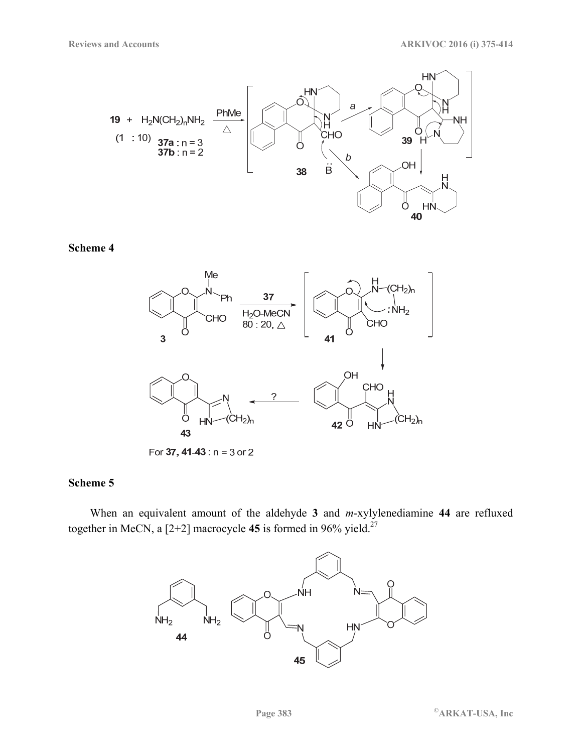



For 37, 41-43 :  $n = 3$  or 2

### **Scheme 5**

When an equivalent amount of the aldehyde **3** and *m*-xylylenediamine **44** are refluxed together in MeCN, a [2+2] macrocycle **45** is formed in 96% yield.<sup>27</sup>

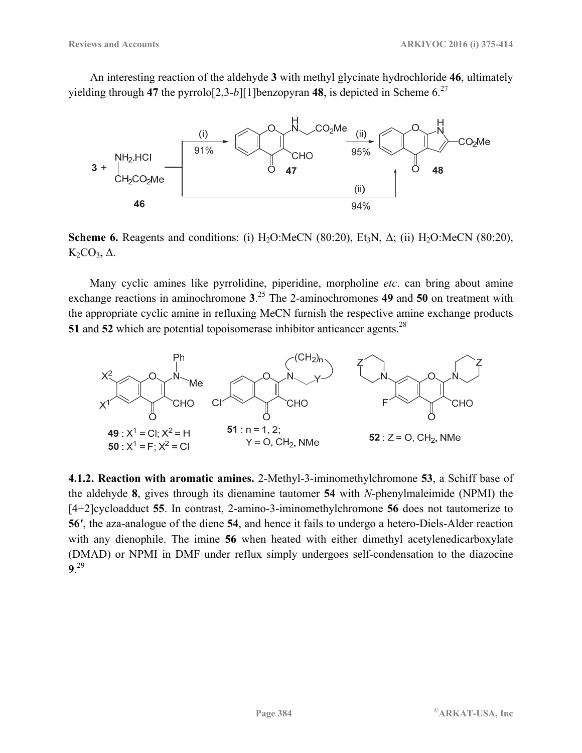An interesting reaction of the aldehyde **3** with methyl glycinate hydrochloride **46**, ultimately yielding through 47 the pyrrolo[2,3-*b*][1]benzopyran 48, is depicted in Scheme  $6^{27}$ 



**Scheme 6.** Reagents and conditions: (i)  $H_2O$ :MeCN (80:20), Et<sub>3</sub>N,  $\Delta$ ; (ii)  $H_2O$ :MeCN (80:20),  $K<sub>2</sub>CO<sub>3</sub>$ , Δ.

Many cyclic amines like pyrrolidine, piperidine, morpholine *etc*. can bring about amine exchange reactions in aminochromone **3**. 25 The 2-aminochromones **49** and **50** on treatment with the appropriate cyclic amine in refluxing MeCN furnish the respective amine exchange products **51** and **52** which are potential topoisomerase inhibitor anticancer agents.<sup>28</sup>



**4.1.2. Reaction with aromatic amines.** 2-Methyl-3-iminomethylchromone **53**, a Schiff base of the aldehyde **8**, gives through its dienamine tautomer **54** with *N*-phenylmaleimide (NPMI) the [4+2]cycloadduct **55**. In contrast, 2-amino-3-iminomethylchromone **56** does not tautomerize to **56′**, the aza-analogue of the diene **54**, and hence it fails to undergo a hetero-Diels-Alder reaction with any dienophile. The imine **56** when heated with either dimethyl acetylenedicarboxylate (DMAD) or NPMI in DMF under reflux simply undergoes self-condensation to the diazocine **9**. 29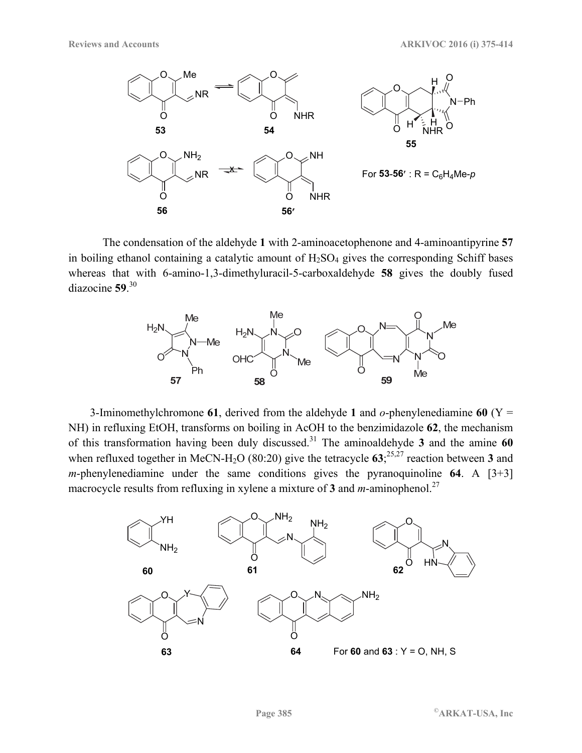

The condensation of the aldehyde **1** with 2-aminoacetophenone and 4-aminoantipyrine **57** in boiling ethanol containing a catalytic amount of  $H<sub>2</sub>SO<sub>4</sub>$  gives the corresponding Schiff bases whereas that with 6-amino-1,3-dimethyluracil-5-carboxaldehyde **58** gives the doubly fused diazocine **59**. 30



3-Iminomethylchromone **61**, derived from the aldehyde **1** and *o*-phenylenediamine **60** (Y = NH) in refluxing EtOH, transforms on boiling in AcOH to the benzimidazole **62**, the mechanism of this transformation having been duly discussed.31 The aminoaldehyde **3** and the amine **60** when refluxed together in MeCN-H<sub>2</sub>O (80:20) give the tetracycle  $63$ ;<sup>25,27</sup> reaction between 3 and *m*-phenylenediamine under the same conditions gives the pyranoquinoline  $64$ . A  $[3+3]$ macrocycle results from refluxing in xylene a mixture of  $\frac{3}{3}$  and *m*-aminophenol.<sup>27</sup>

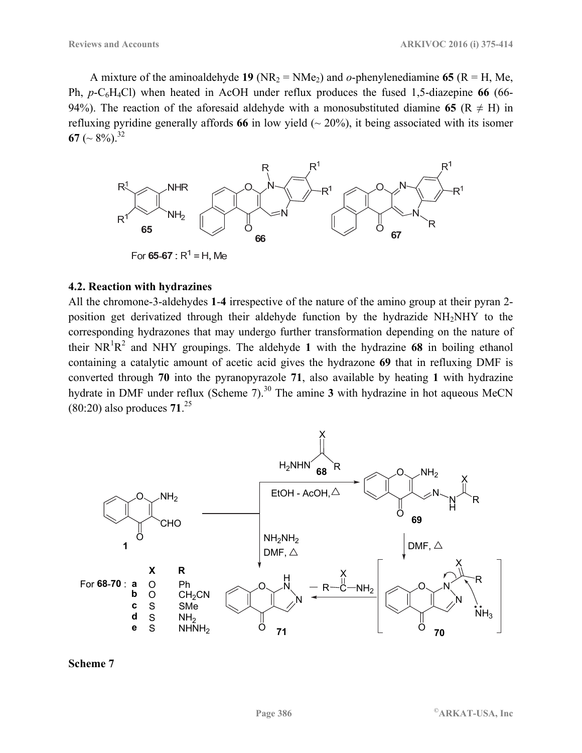A mixture of the aminoaldehyde **19** (NR<sub>2</sub> = NMe<sub>2</sub>) and *o*-phenylenediamine **65** (R = H, Me, Ph, *p*-C6H4Cl) when heated in AcOH under reflux produces the fused 1,5-diazepine **66** (66- 94%). The reaction of the aforesaid aldehyde with a monosubstituted diamine 65 ( $R \neq H$ ) in refluxing pyridine generally affords 66 in low yield  $(20\%)$ , it being associated with its isomer **67** ( $\sim$  8%).<sup>32</sup>



#### **4.2. Reaction with hydrazines**

All the chromone-3-aldehydes **1**-**4** irrespective of the nature of the amino group at their pyran 2 position get derivatized through their aldehyde function by the hydrazide NH2NHY to the corresponding hydrazones that may undergo further transformation depending on the nature of their  $NR^1R^2$  and NHY groupings. The aldehyde 1 with the hydrazine 68 in boiling ethanol containing a catalytic amount of acetic acid gives the hydrazone **69** that in refluxing DMF is converted through **70** into the pyranopyrazole **71**, also available by heating **1** with hydrazine hydrate in DMF under reflux (Scheme 7).<sup>30</sup> The amine **3** with hydrazine in hot aqueous MeCN (80:20) also produces **71**. 25



**Scheme 7**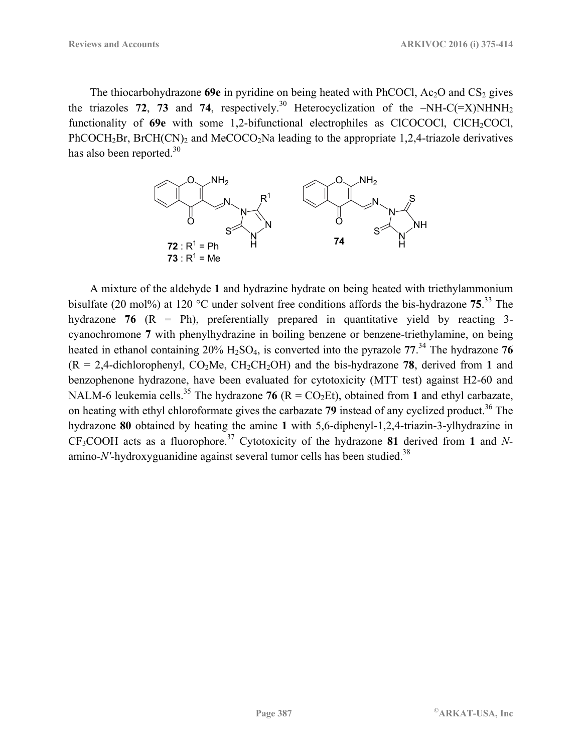The thiocarbohydrazone  $69e$  in pyridine on being heated with PhCOCl,  $Ac_2O$  and  $CS_2$  gives the triazoles **72**, **73** and **74**, respectively.<sup>30</sup> Heterocyclization of the  $-NH-C(=\text{X})NHNH_2$ functionality of 69e with some 1,2-bifunctional electrophiles as ClCOCOCl, ClCH<sub>2</sub>COCl, PhCOCH<sub>2</sub>Br, BrCH(CN)<sub>2</sub> and MeCOCO<sub>2</sub>Na leading to the appropriate 1,2,4-triazole derivatives has also been reported. $30$ 



A mixture of the aldehyde **1** and hydrazine hydrate on being heated with triethylammonium bisulfate (20 mol%) at 120 °C under solvent free conditions affords the bis-hydrazone **75**. 33 The hydrazone **76** (R = Ph), preferentially prepared in quantitative yield by reacting 3 cyanochromone **7** with phenylhydrazine in boiling benzene or benzene-triethylamine, on being heated in ethanol containing 20% H2SO4, is converted into the pyrazole **77**. 34 The hydrazone **76**  $(R = 2,4$ -dichlorophenyl,  $CO<sub>2</sub>Me$ ,  $CH<sub>2</sub>CH<sub>2</sub>OH$ ) and the bis-hydrazone 78, derived from 1 and benzophenone hydrazone, have been evaluated for cytotoxicity (MTT test) against H2-60 and NALM-6 leukemia cells.<sup>35</sup> The hydrazone **76** ( $R = CO<sub>2</sub>Et$ ), obtained from 1 and ethyl carbazate, on heating with ethyl chloroformate gives the carbazate 79 instead of any cyclized product.<sup>36</sup> The hydrazone **80** obtained by heating the amine **1** with 5,6-diphenyl-1,2,4-triazin-3-ylhydrazine in CF3COOH acts as a fluorophore.37 Cytotoxicity of the hydrazone **81** derived from **1** and *N*amino-*N'*-hydroxyguanidine against several tumor cells has been studied.<sup>38</sup>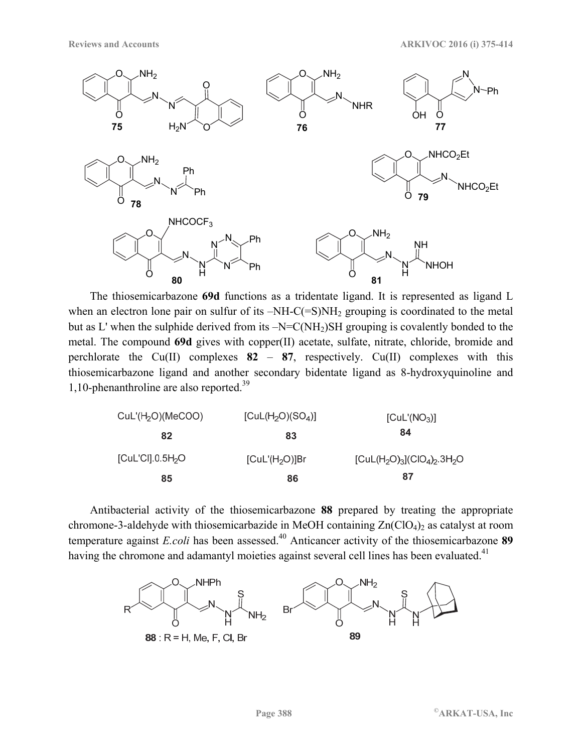

The thiosemicarbazone **69d** functions as a tridentate ligand. It is represented as ligand L when an electron lone pair on sulfur of its  $-NH-C(=S)NH<sub>2</sub>$  grouping is coordinated to the metal but as L' when the sulphide derived from its  $-N=C(NH_2)SH$  grouping is covalently bonded to the metal. The compound **69d** gives with copper(II) acetate, sulfate, nitrate, chloride, bromide and perchlorate the  $Cu(II)$  complexes  $82 - 87$ , respectively.  $Cu(II)$  complexes with this thiosemicarbazone ligand and another secondary bidentate ligand as 8-hydroxyquinoline and 1,10-phenanthroline are also reported.39

| CuL'(H <sub>2</sub> O)(MeCOO)  | [CuL(H <sub>2</sub> O)(SO <sub>4</sub> )] | [Cul'(NO <sub>3</sub> )]                |
|--------------------------------|-------------------------------------------|-----------------------------------------|
| 82                             | 83                                        | 84                                      |
| $[Cul'C$ ].0.5H <sub>2</sub> O | [Cul'(H <sub>2</sub> O)]Br                | $[CuL(H2O)3](ClO4)2$ .3H <sub>2</sub> O |
| 85                             | 86                                        | 87                                      |

Antibacterial activity of the thiosemicarbazone **88** prepared by treating the appropriate chromone-3-aldehyde with thiosemicarbazide in MeOH containing  $Zn(CIO<sub>4</sub>)<sub>2</sub>$  as catalyst at room temperature against *E.coli* has been assessed.<sup>40</sup> Anticancer activity of the thiosemicarbazone **89** having the chromone and adamantyl moieties against several cell lines has been evaluated.<sup>41</sup>

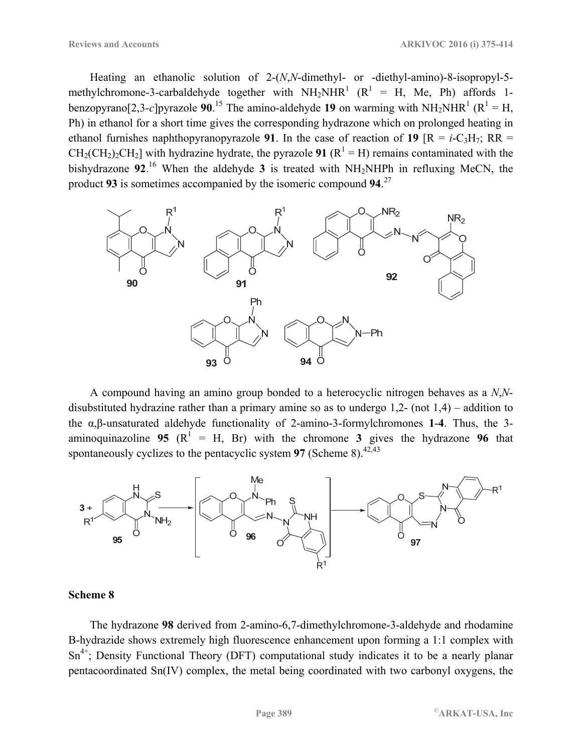Heating an ethanolic solution of 2-(*N*,*N*-dimethyl- or -diethyl-amino)-8-isopropyl-5 methylchromone-3-carbaldehyde together with  $NH_2NHR^1$  ( $R^1$  = H, Me, Ph) affords 1benzopyrano $[2,3-c]$ pyrazole 90.<sup>15</sup> The amino-aldehyde 19 on warming with NH<sub>2</sub>NHR<sup>1</sup> (R<sup>1</sup> = H, Ph) in ethanol for a short time gives the corresponding hydrazone which on prolonged heating in ethanol furnishes naphthopyranopyrazole 91. In the case of reaction of 19  $[R = i-C<sub>3</sub>H<sub>7</sub>; RR =$  $CH_2(CH_2)_2CH_2$ ] with hydrazine hydrate, the pyrazole **91** ( $R^1 = H$ ) remains contaminated with the bishydrazone **92**. 16 When the aldehyde **3** is treated with NH2NHPh in refluxing MeCN, the product **93** is sometimes accompanied by the isomeric compound **94**. 27



A compound having an amino group bonded to a heterocyclic nitrogen behaves as a *N*,*N*disubstituted hydrazine rather than a primary amine so as to undergo 1,2- (not 1,4) – addition to the α,β-unsaturated aldehyde functionality of 2-amino-3-formylchromones **1**-**4**. Thus, the 3 aminoquinazoline **95** ( $\mathbb{R}^1 = H$ , Br) with the chromone **3** gives the hydrazone **96** that spontaneously cyclizes to the pentacyclic system  $97$  (Scheme 8).<sup>42,43</sup>



#### **Scheme 8**

The hydrazone **98** derived from 2-amino-6,7-dimethylchromone-3-aldehyde and rhodamine B-hydrazide shows extremely high fluorescence enhancement upon forming a 1:1 complex with Sn<sup>4+</sup>; Density Functional Theory (DFT) computational study indicates it to be a nearly planar pentacoordinated Sn(IV) complex, the metal being coordinated with two carbonyl oxygens, the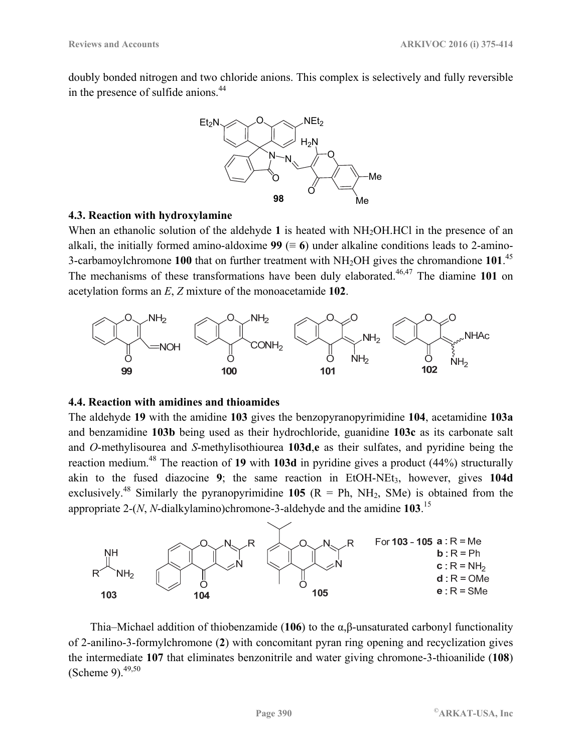doubly bonded nitrogen and two chloride anions. This complex is selectively and fully reversible in the presence of sulfide anions.<sup>44</sup>



#### **4.3. Reaction with hydroxylamine**

When an ethanolic solution of the aldehyde 1 is heated with NH<sub>2</sub>OH.HCl in the presence of an alkali, the initially formed amino-aldoxime  $99 (= 6)$  under alkaline conditions leads to 2-amino-3-carbamoylchromone **100** that on further treatment with NH2OH gives the chromandione **101**. 45 The mechanisms of these transformations have been duly elaborated.<sup>46,47</sup> The diamine 101 on acetylation forms an *E*, *Z* mixture of the monoacetamide **102**.



### **4.4. Reaction with amidines and thioamides**

The aldehyde **19** with the amidine **103** gives the benzopyranopyrimidine **104**, acetamidine **103a** and benzamidine **103b** being used as their hydrochloride, guanidine **103c** as its carbonate salt and *O*-methylisourea and *S*-methylisothiourea **103d**,**e** as their sulfates, and pyridine being the reaction medium.48 The reaction of **19** with **103d** in pyridine gives a product (44%) structurally akin to the fused diazocine  $9$ ; the same reaction in EtOH-NEt<sub>3</sub>, however, gives 104d exclusively.<sup>48</sup> Similarly the pyranopyrimidine 105 ( $R = Ph$ ,  $NH_2$ , SMe) is obtained from the appropriate 2-(*N*, *N*-dialkylamino)chromone-3-aldehyde and the amidine **103**. 15



Thia–Michael addition of thiobenzamide (**106**) to the α,β-unsaturated carbonyl functionality of 2-anilino-3-formylchromone (**2**) with concomitant pyran ring opening and recyclization gives the intermediate **107** that eliminates benzonitrile and water giving chromone-3-thioanilide (**108**) (Scheme 9). $49,50$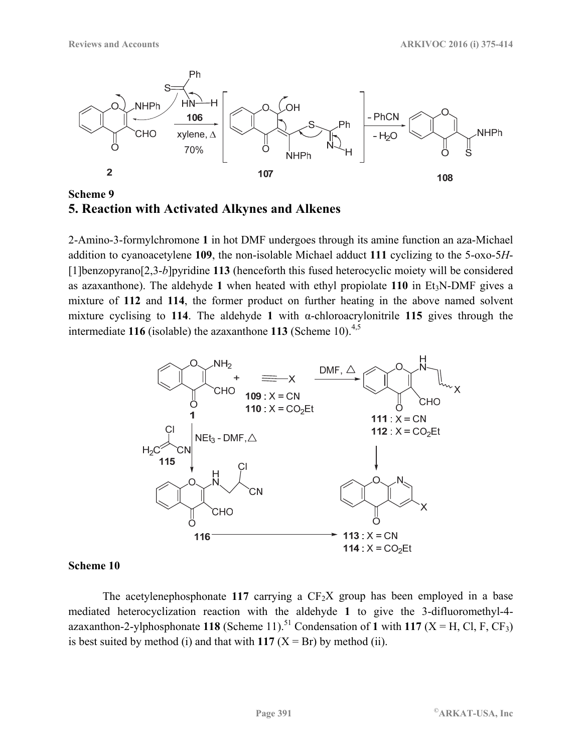

**Scheme 9 5. Reaction with Activated Alkynes and Alkenes** 

2-Amino-3-formylchromone **1** in hot DMF undergoes through its amine function an aza-Michael addition to cyanoacetylene **109**, the non-isolable Michael adduct **111** cyclizing to the 5-oxo-5*H*- [1]benzopyrano[2,3-*b*]pyridine **113** (henceforth this fused heterocyclic moiety will be considered as azaxanthone). The aldehyde 1 when heated with ethyl propiolate  $110$  in Et<sub>3</sub>N-DMF gives a mixture of **112** and **114**, the former product on further heating in the above named solvent mixture cyclising to **114**. The aldehyde **1** with α-chloroacrylonitrile **115** gives through the intermediate **116** (isolable) the azaxanthone **113** (Scheme 10).<sup>4,5</sup>



#### **Scheme 10**

The acetylenephosphonate 117 carrying a  $CF<sub>2</sub>X$  group has been employed in a base mediated heterocyclization reaction with the aldehyde **1** to give the 3-difluoromethyl-4 azaxanthon-2-ylphosphonate 118 (Scheme 11).<sup>51</sup> Condensation of 1 with 117 (X = H, Cl, F, CF<sub>3</sub>) is best suited by method (i) and that with  $117$  ( $X = Br$ ) by method (ii).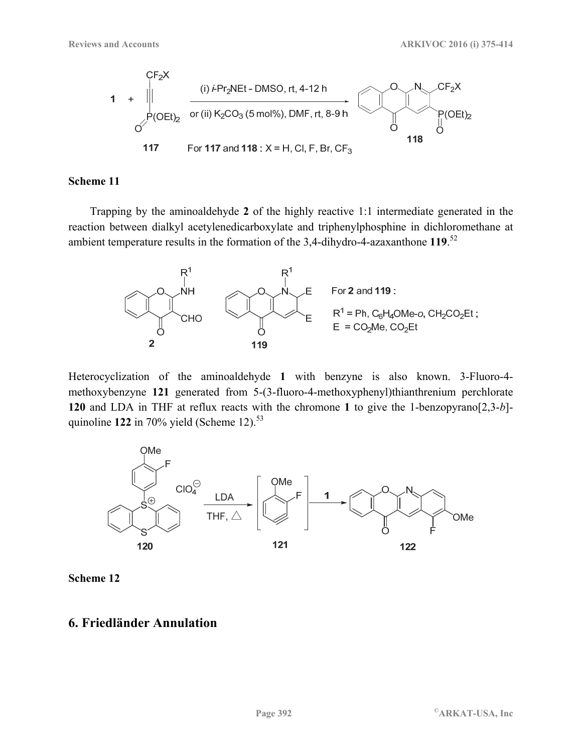

Trapping by the aminoaldehyde **2** of the highly reactive 1:1 intermediate generated in the reaction between dialkyl acetylenedicarboxylate and triphenylphosphine in dichloromethane at ambient temperature results in the formation of the 3,4-dihydro-4-azaxanthone **119**. 52



Heterocyclization of the aminoaldehyde **1** with benzyne is also known. 3-Fluoro-4 methoxybenzyne **121** generated from 5-(3-fluoro-4-methoxyphenyl)thianthrenium perchlorate **120** and LDA in THF at reflux reacts with the chromone **1** to give the 1-benzopyrano[2,3-*b*] quinoline  $122$  in 70% yield (Scheme 12).<sup>53</sup>



**Scheme 12** 

### **6. Friedländer Annulation**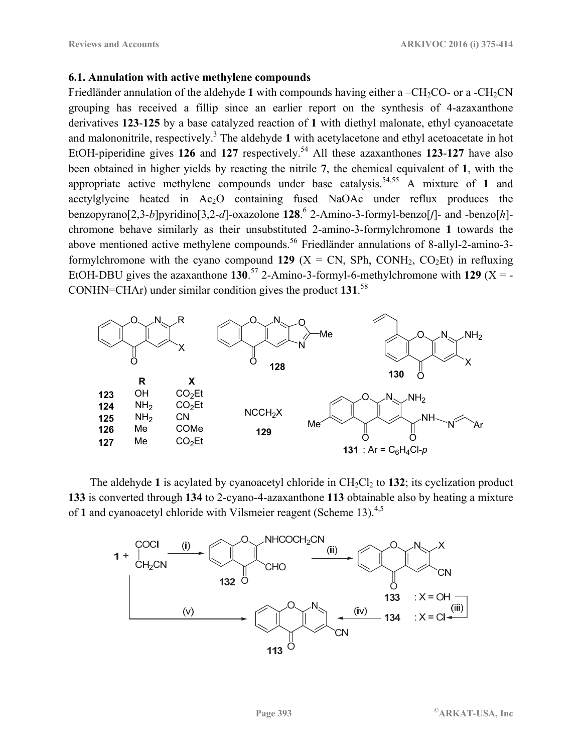#### **6.1. Annulation with active methylene compounds**

Friedländer annulation of the aldehyde 1 with compounds having either a  $-CH_2CO$ - or a  $-CH_2CN$ grouping has received a fillip since an earlier report on the synthesis of 4-azaxanthone derivatives **123**-**125** by a base catalyzed reaction of **1** with diethyl malonate, ethyl cyanoacetate and malononitrile, respectively.<sup>3</sup> The aldehyde 1 with acetylacetone and ethyl acetoacetate in hot EtOH-piperidine gives 126 and 127 respectively.<sup>54</sup> All these azaxanthones 123-127 have also been obtained in higher yields by reacting the nitrile **7**, the chemical equivalent of **1**, with the appropriate active methylene compounds under base catalysis.<sup>54,55</sup> A mixture of 1 and acetylglycine heated in Ac<sub>2</sub>O containing fused NaOAc under reflux produces the benzopyrano[2,3-*b*]pyridino[3,2-*d*]-oxazolone **128**. 6 2-Amino-3-formyl-benzo[*f*]- and -benzo[*h*] chromone behave similarly as their unsubstituted 2-amino-3-formylchromone **1** towards the above mentioned active methylene compounds.<sup>56</sup> Friedländer annulations of 8-allyl-2-amino-3formylchromone with the cyano compound **129** ( $X = CN$ , SPh, CONH<sub>2</sub>, CO<sub>2</sub>Et) in refluxing EtOH-DBU gives the azaxanthone  $130^{57}$  2-Amino-3-formyl-6-methylchromone with 129 (X = -CONHN=CHAr) under similar condition gives the product **131**. 58



The aldehyde 1 is acylated by cyanoacetyl chloride in  $CH_2Cl_2$  to 132; its cyclization product **133** is converted through **134** to 2-cyano-4-azaxanthone **113** obtainable also by heating a mixture of 1 and cyanoacetyl chloride with Vilsmeier reagent (Scheme 13).<sup>4,5</sup>

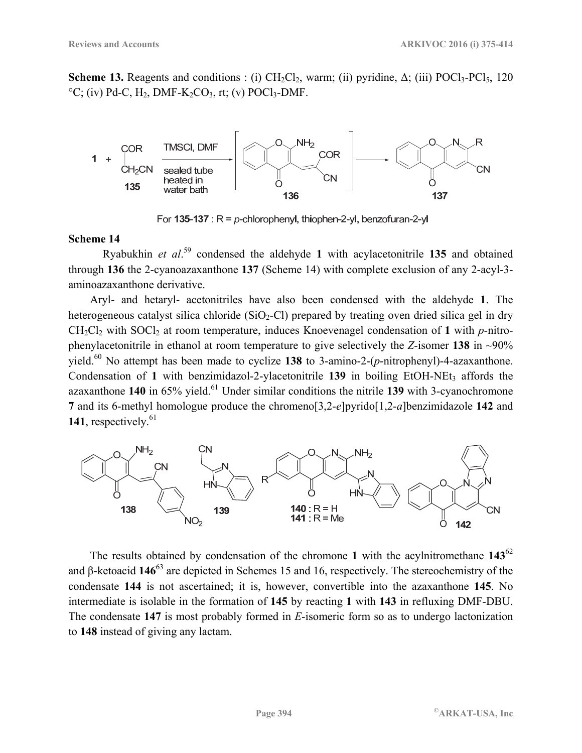**Scheme 13.** Reagents and conditions : (i)  $CH_2Cl_2$ , warm; (ii) pyridine,  $\Delta$ ; (iii) POCl<sub>3</sub>-PCl<sub>5</sub>, 120  $°C$ ; (iv) Pd-C, H<sub>2</sub>, DMF-K<sub>2</sub>CO<sub>3</sub>, rt; (v) POCl<sub>3</sub>-DMF.



For 135-137 :  $R = p$ -chlorophenyl, thiophen-2-yl, benzofuran-2-yl

#### **Scheme 14**

Ryabukhin *et al*. 59 condensed the aldehyde **1** with acylacetonitrile **135** and obtained through **136** the 2-cyanoazaxanthone **137** (Scheme 14) with complete exclusion of any 2-acyl-3 aminoazaxanthone derivative.

Aryl- and hetaryl- acetonitriles have also been condensed with the aldehyde **1**. The heterogeneous catalyst silica chloride (SiO<sub>2</sub>-Cl) prepared by treating oven dried silica gel in dry CH2Cl2 with SOCl2 at room temperature, induces Knoevenagel condensation of **1** with *p*-nitrophenylacetonitrile in ethanol at room temperature to give selectively the *Z*-isomer **138** in ~90% yield.60 No attempt has been made to cyclize **138** to 3-amino-2-(*p*-nitrophenyl)-4-azaxanthone. Condensation of 1 with benzimidazol-2-ylacetonitrile 139 in boiling EtOH-NEt<sub>3</sub> affords the azaxanthone **140** in 65% yield.<sup>61</sup> Under similar conditions the nitrile **139** with 3-cyanochromone **7** and its 6-methyl homologue produce the chromeno[3,2-*e*]pyrido[1,2-*a*]benzimidazole **142** and 141, respectively.<sup>61</sup>



The results obtained by condensation of the chromone **1** with the acylnitromethane **143**<sup>62</sup> and β-ketoacid **146**63 are depicted in Schemes 15 and 16, respectively. The stereochemistry of the condensate **144** is not ascertained; it is, however, convertible into the azaxanthone **145**. No intermediate is isolable in the formation of **145** by reacting **1** with **143** in refluxing DMF-DBU. The condensate **147** is most probably formed in *E*-isomeric form so as to undergo lactonization to **148** instead of giving any lactam.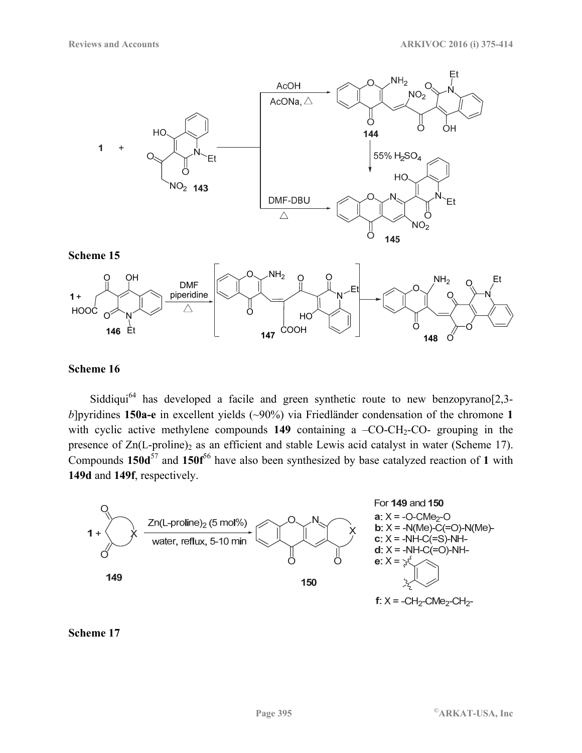



Siddiqui<sup>64</sup> has developed a facile and green synthetic route to new benzopyrano<sup>[2,3-</sup> *b*]pyridines **150a-e** in excellent yields (~90%) via Friedländer condensation of the chromone **1** with cyclic active methylene compounds  $149$  containing a  $-CO-CH<sub>2</sub>-CO-$  grouping in the presence of  $Zn(L-proline)$ <sub>2</sub> as an efficient and stable Lewis acid catalyst in water (Scheme 17). Compounds 150d<sup>57</sup> and 150f<sup>56</sup> have also been synthesized by base catalyzed reaction of 1 with **149d** and **149f**, respectively.



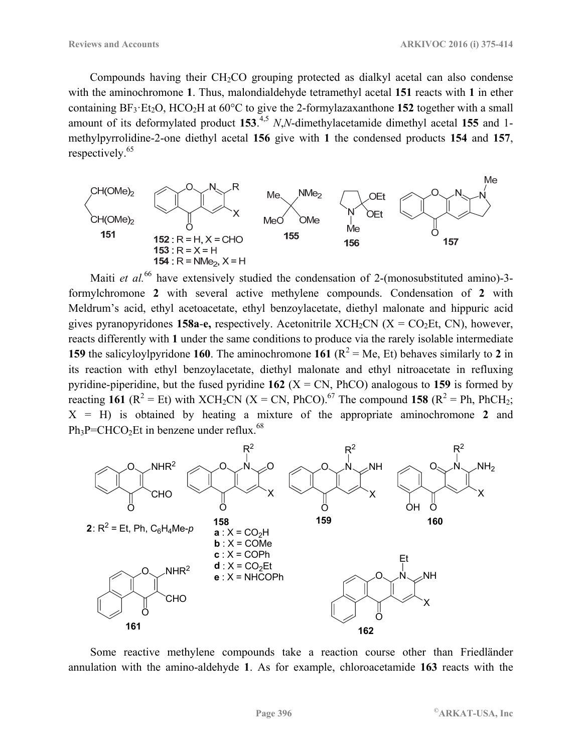Compounds having their  $CH<sub>2</sub>CO$  grouping protected as dialkyl acetal can also condense with the aminochromone **1**. Thus, malondialdehyde tetramethyl acetal **151** reacts with **1** in ether containing  $BF_3 \cdot Et_2O$ ,  $HCO_2H$  at  $60^{\circ}C$  to give the 2-formylazaxanthone **152** together with a small amount of its deformylated product 153.<sup>4,5</sup> N,N-dimethylacetamide dimethyl acetal 155 and 1methylpyrrolidine-2-one diethyl acetal **156** give with **1** the condensed products **154** and **157**, respectively.65



Maiti *et al.*<sup>66</sup> have extensively studied the condensation of 2-(monosubstituted amino)-3formylchromone **2** with several active methylene compounds. Condensation of **2** with Meldrum's acid, ethyl acetoacetate, ethyl benzoylacetate, diethyl malonate and hippuric acid gives pyranopyridones **158a-e**, respectively. Acetonitrile  $XCH_2CN$  ( $X = CO_2Et$ , CN), however, reacts differently with **1** under the same conditions to produce via the rarely isolable intermediate **159** the salicyloylpyridone **160**. The aminochromone **161** ( $R^2 = Me$ , Et) behaves similarly to **2** in its reaction with ethyl benzoylacetate, diethyl malonate and ethyl nitroacetate in refluxing pyridine-piperidine, but the fused pyridine  $162$  ( $X = CN$ , PhCO) analogous to 159 is formed by reacting 161 ( $R^2$  = Et) with XCH<sub>2</sub>CN (X = CN, PhCO).<sup>67</sup> The compound 158 ( $R^2$  = Ph, PhCH<sub>2</sub>;  $X = H$ ) is obtained by heating a mixture of the appropriate aminochromone 2 and  $Ph_3P=CHCO<sub>2</sub>Et$  in benzene under reflux.<sup>68</sup>



Some reactive methylene compounds take a reaction course other than Friedländer annulation with the amino-aldehyde **1**. As for example, chloroacetamide **163** reacts with the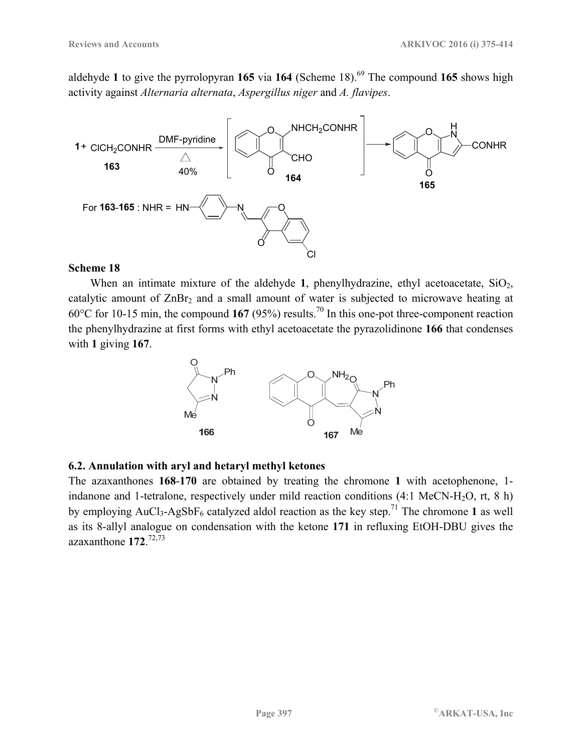aldehyde 1 to give the pyrrolopyran 165 via 164 (Scheme 18).<sup>69</sup> The compound 165 shows high activity against *Alternaria alternata*, *Aspergillus niger* and *A. flavipes*.



#### **Scheme 18**

When an intimate mixture of the aldehyde  $1$ , phenylhydrazine, ethyl acetoacetate,  $SiO<sub>2</sub>$ , catalytic amount of  $ZnBr<sub>2</sub>$  and a small amount of water is subjected to microwave heating at 60°C for 10-15 min, the compound **167** (95%) results.70 In this one-pot three-component reaction the phenylhydrazine at first forms with ethyl acetoacetate the pyrazolidinone **166** that condenses with **1** giving **167**.



#### **6.2. Annulation with aryl and hetaryl methyl ketones**

The azaxanthones **168**-**170** are obtained by treating the chromone **1** with acetophenone, 1 indanone and 1-tetralone, respectively under mild reaction conditions  $(4:1 \text{ MeCN-H}_2\text{O}, \text{rt}, 8 \text{ h})$ by employing  $AuCl_3-AgSbF_6$  catalyzed aldol reaction as the key step.<sup>71</sup> The chromone 1 as well as its 8-allyl analogue on condensation with the ketone **171** in refluxing EtOH-DBU gives the azaxanthone **172**. 72,73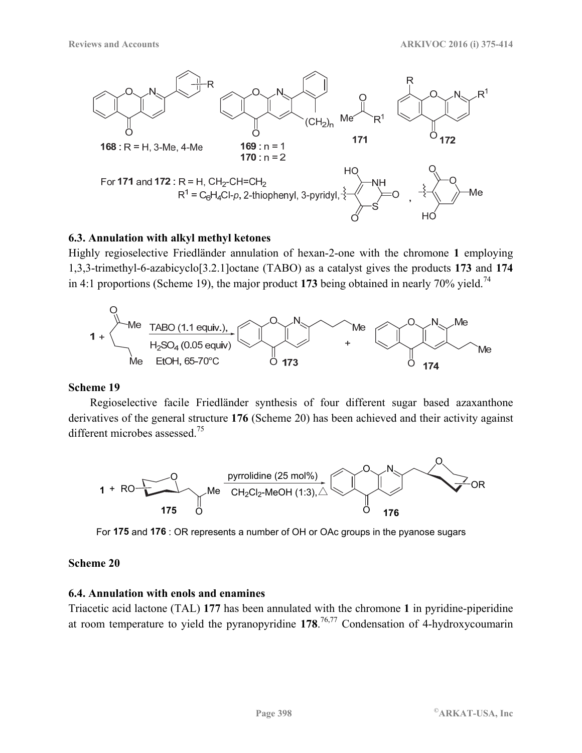

#### **6.3. Annulation with alkyl methyl ketones**

Highly regioselective Friedländer annulation of hexan-2-one with the chromone **1** employing 1,3,3-trimethyl-6-azabicyclo[3.2.1]octane (TABO) as a catalyst gives the products **173** and **174** in 4:1 proportions (Scheme 19), the major product 173 being obtained in nearly 70% yield.<sup>74</sup>



#### **Scheme 19**

Regioselective facile Friedländer synthesis of four different sugar based azaxanthone derivatives of the general structure **176** (Scheme 20) has been achieved and their activity against different microbes assessed.75



For **175** and **176** : OR represents a number of OH or OAc groups in the pyanose sugars

#### **Scheme 20**

## **6.4. Annulation with enols and enamines**

Triacetic acid lactone (TAL) **177** has been annulated with the chromone **1** in pyridine-piperidine at room temperature to yield the pyranopyridine **178**. 76,77 Condensation of 4-hydroxycoumarin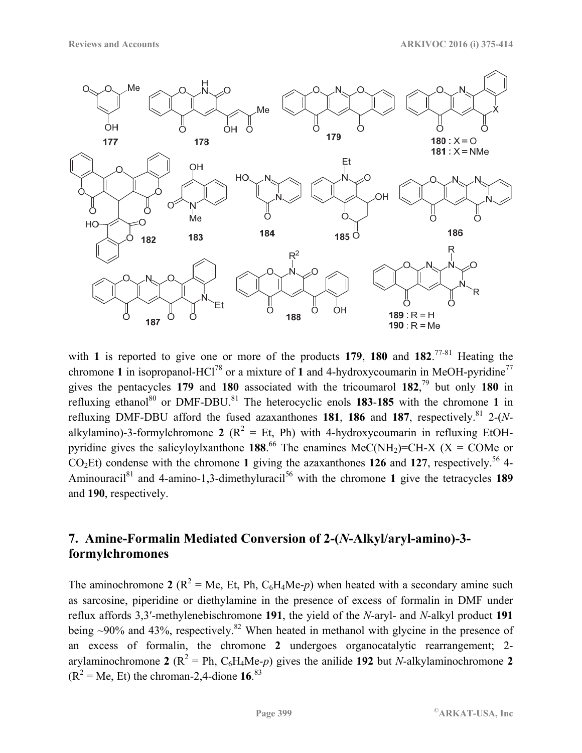

with **1** is reported to give one or more of the products **179**, **180** and **182**. 77-81 Heating the chromone 1 in isopropanol-HCl<sup>78</sup> or a mixture of 1 and 4-hydroxycoumarin in MeOH-pyridine<sup>77</sup> gives the pentacycles **179** and **180** associated with the tricoumarol **182**, 79 but only **180** in refluxing ethanol<sup>80</sup> or DMF-DBU.<sup>81</sup> The heterocyclic enols **183-185** with the chromone 1 in refluxing DMF-DBU afford the fused azaxanthones **181**, **186** and **187**, respectively.81 2-(*N*alkylamino)-3-formylchromone 2 ( $R^2 = Et$ , Ph) with 4-hydroxycoumarin in refluxing EtOHpyridine gives the salicyloylxanthone **188**.<sup>66</sup> The enamines MeC(NH<sub>2</sub>)=CH-X (X = COMe or  $CO<sub>2</sub>Et$ ) condense with the chromone 1 giving the azaxanthones 126 and 127, respectively.<sup>56</sup> 4-Aminouracil<sup>81</sup> and 4-amino-1,3-dimethyluracil<sup>56</sup> with the chromone 1 give the tetracycles 189 and **190**, respectively.

## **7. Amine-Formalin Mediated Conversion of 2-(***N***-Alkyl/aryl-amino)-3 formylchromones**

The aminochromone 2 ( $R^2 = Me$ , Et, Ph,  $C_6H_4Me$ -*p*) when heated with a secondary amine such as sarcosine, piperidine or diethylamine in the presence of excess of formalin in DMF under reflux affords 3,3′-methylenebischromone **191**, the yield of the *N*-aryl- and *N*-alkyl product **191** being  $\sim$ 90% and 43%, respectively.<sup>82</sup> When heated in methanol with glycine in the presence of an excess of formalin, the chromone **2** undergoes organocatalytic rearrangement; 2 arylaminochromone 2 ( $R^2 = Ph$ ,  $C_6H_4Me-p$ ) gives the anilide 192 but *N*-alkylaminochromone 2  $(R^2 = Me, Et)$  the chroman-2,4-dione 16.<sup>83</sup>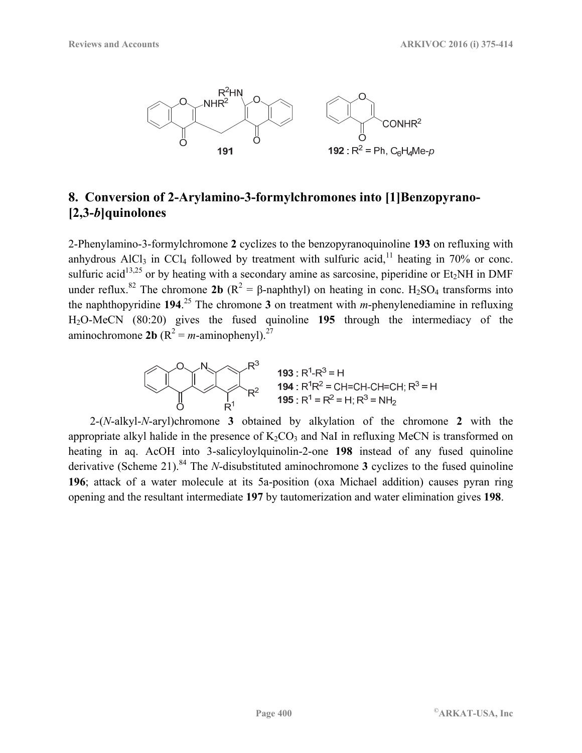

## **8. Conversion of 2-Arylamino-3-formylchromones into [1]Benzopyrano- [2,3-***b***]quinolones**

2-Phenylamino-3-formylchromone **2** cyclizes to the benzopyranoquinoline **193** on refluxing with anhydrous AlCl<sub>3</sub> in CCl<sub>4</sub> followed by treatment with sulfuric acid,<sup>11</sup> heating in 70% or conc. sulfuric acid<sup>13,25</sup> or by heating with a secondary amine as sarcosine, piperidine or Et<sub>2</sub>NH in DMF under reflux.<sup>82</sup> The chromone **2b** ( $R^2 = \beta$ -naphthyl) on heating in conc. H<sub>2</sub>SO<sub>4</sub> transforms into the naphthopyridine **194**. 25 The chromone **3** on treatment with *m*-phenylenediamine in refluxing H2O-MeCN (80:20) gives the fused quinoline **195** through the intermediacy of the aminochromone **2b** ( $R^2 = m$ -aminophenyl).<sup>27</sup>

$$
R^3
$$
  
\n193 : R<sup>1</sup>-R<sup>3</sup> = H  
\n194 : R<sup>1</sup>R<sup>2</sup> = CH=CH-CH=CH; R<sup>3</sup> = H  
\n195 : R<sup>1</sup> = R<sup>2</sup> = H; R<sup>3</sup> = NH<sub>2</sub>

2-(*N*-alkyl-*N*-aryl)chromone **3** obtained by alkylation of the chromone **2** with the appropriate alkyl halide in the presence of  $K_2CO_3$  and NaI in refluxing MeCN is transformed on heating in aq. AcOH into 3-salicyloylquinolin-2-one **198** instead of any fused quinoline derivative (Scheme 21).<sup>84</sup> The *N*-disubstituted aminochromone **3** cyclizes to the fused quinoline **196**; attack of a water molecule at its 5a-position (oxa Michael addition) causes pyran ring opening and the resultant intermediate **197** by tautomerization and water elimination gives **198**.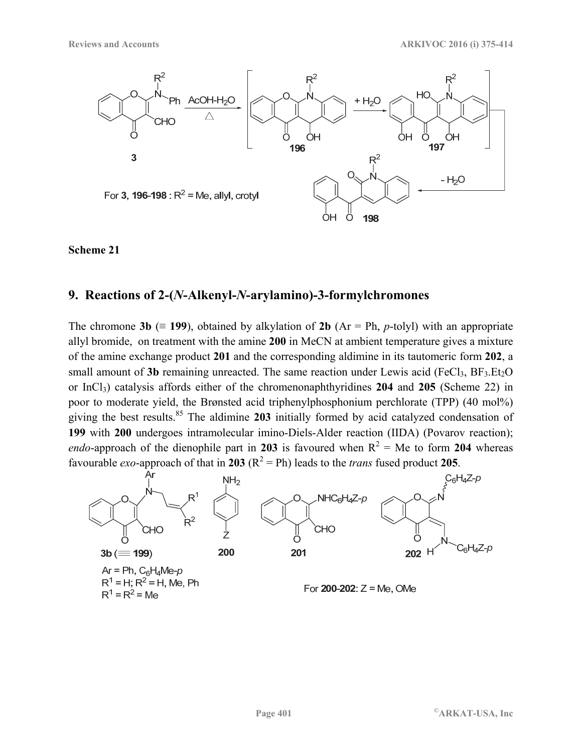

## **9. Reactions of 2-(***N***-Alkenyl-***N***-arylamino)-3-formylchromones**

The chromone **3b** ( $\equiv$  **199**), obtained by alkylation of **2b** (Ar = Ph, *p*-tolyl) with an appropriate allyl bromide, on treatment with the amine **200** in MeCN at ambient temperature gives a mixture of the amine exchange product **201** and the corresponding aldimine in its tautomeric form **202**, a small amount of  $3b$  remaining unreacted. The same reaction under Lewis acid (FeCl<sub>3</sub>, BF<sub>3</sub>.Et<sub>2</sub>O) or InCl3) catalysis affords either of the chromenonaphthyridines **204** and **205** (Scheme 22) in poor to moderate yield, the Brønsted acid triphenylphosphonium perchlorate (TPP) (40 mol%) giving the best results.85 The aldimine **203** initially formed by acid catalyzed condensation of **199** with **200** undergoes intramolecular imino-Diels-Alder reaction (IIDA) (Povarov reaction); *endo*-approach of the dienophile part in 203 is favoured when  $R^2 = Me$  to form 204 whereas favourable *exo*-approach of that in 203 ( $R^2 = Ph$ ) leads to the *trans* fused product 205.

![](_page_26_Figure_6.jpeg)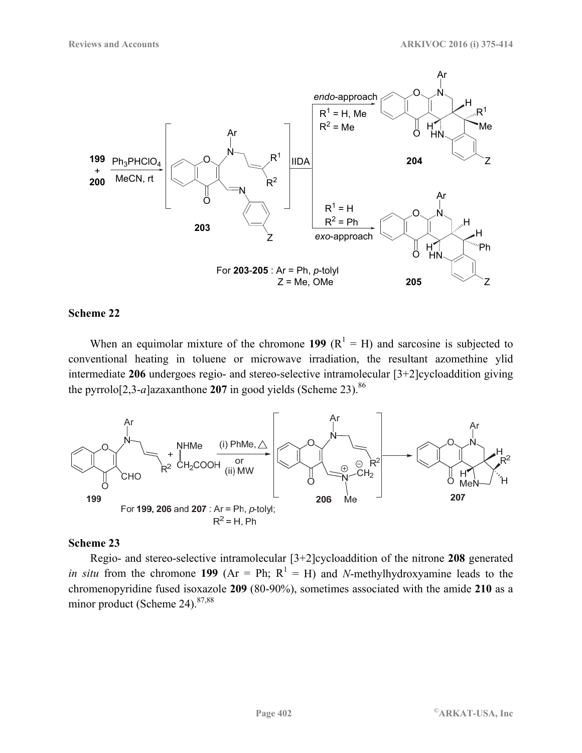![](_page_27_Figure_2.jpeg)

When an equimolar mixture of the chromone 199  $(R^1 = H)$  and sarcosine is subjected to conventional heating in toluene or microwave irradiation, the resultant azomethine ylid intermediate **206** undergoes regio- and stereo-selective intramolecular [3+2]cycloaddition giving the pyrrolo<sup>[2,3-*a*]azaxanthone **207** in good yields (Scheme 23).<sup>86</sup></sup>

![](_page_27_Figure_5.jpeg)

#### **Scheme 23**

Regio- and stereo-selective intramolecular [3+2]cycloaddition of the nitrone **208** generated *in situ* from the chromone 199 ( $Ar = Ph$ ;  $R<sup>1</sup> = H$ ) and *N*-methylhydroxyamine leads to the chromenopyridine fused isoxazole **209** (80-90%), sometimes associated with the amide **210** as a minor product (Scheme 24). $87,88$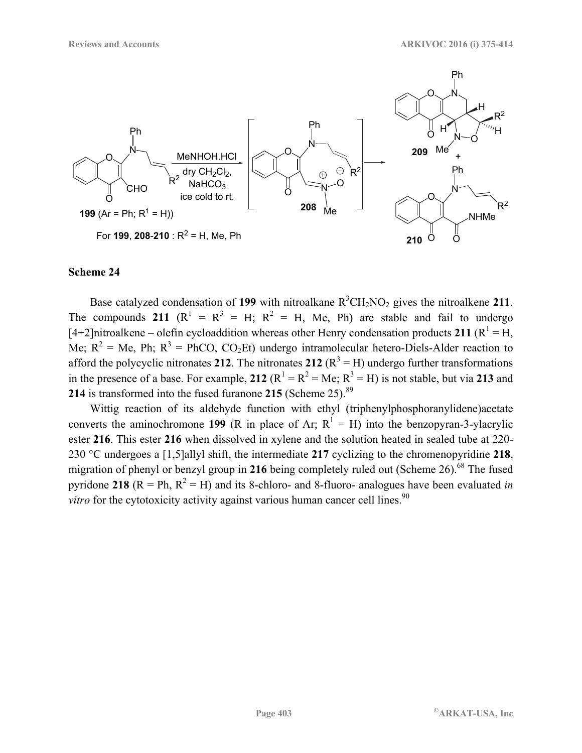![](_page_28_Figure_2.jpeg)

Base catalyzed condensation of 199 with nitroalkane  $R^3CH_2NO_2$  gives the nitroalkene 211. The compounds 211  $(R^1 = R^3 = H; R^2 = H, Me, Ph)$  are stable and fail to undergo  $[4+2]$ nitroalkene – olefin cycloaddition whereas other Henry condensation products 211 ( $\mathbb{R}^1$  = H, Me;  $R^2 = Me$ , Ph;  $R^3 = PhCO$ ,  $CO_2Et$ ) undergo intramolecular hetero-Diels-Alder reaction to afford the polycyclic nitronates 212. The nitronates 212  $(R^3 = H)$  undergo further transformations in the presence of a base. For example, 212  $(R^1 = R^2 = Me; R^3 = H)$  is not stable, but via 213 and **214** is transformed into the fused furanone **215** (Scheme 25).89

Wittig reaction of its aldehyde function with ethyl (triphenylphosphoranylidene)acetate converts the aminochromone 199 (R in place of Ar;  $R^1 = H$ ) into the benzopyran-3-ylacrylic ester **216**. This ester **216** when dissolved in xylene and the solution heated in sealed tube at 220- 230 °C undergoes a [1,5]allyl shift, the intermediate **217** cyclizing to the chromenopyridine **218**, migration of phenyl or benzyl group in 216 being completely ruled out (Scheme 26).<sup>68</sup> The fused pyridone 218 ( $R = Ph$ ,  $R^2 = H$ ) and its 8-chloro- and 8-fluoro- analogues have been evaluated *in vitro* for the cytotoxicity activity against various human cancer cell lines.<sup>90</sup>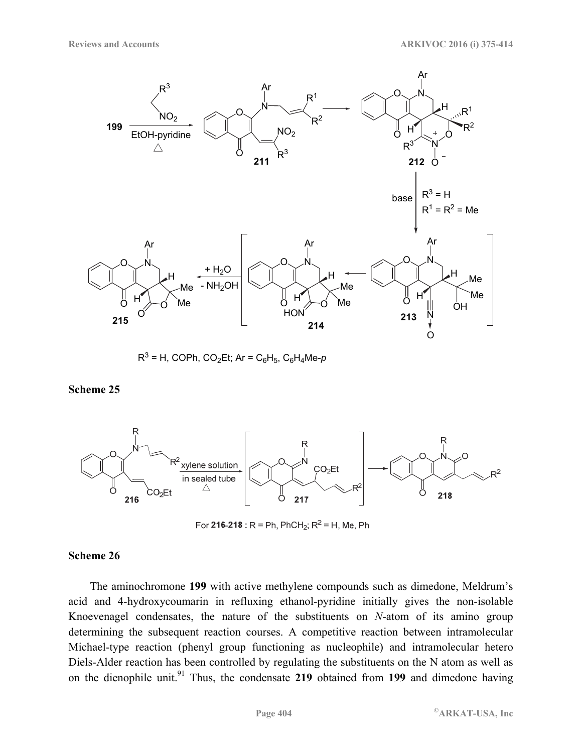![](_page_29_Figure_2.jpeg)

 $R^3$  = H, COPh, CO<sub>2</sub>Et; Ar = C<sub>6</sub>H<sub>5</sub>, C<sub>6</sub>H<sub>4</sub>Me-*p* 

**Scheme 25** 

![](_page_29_Figure_5.jpeg)

For 216-218 : R = Ph, PhCH<sub>2</sub>; R<sup>2</sup> = H, Me, Ph

#### **Scheme 26**

The aminochromone **199** with active methylene compounds such as dimedone, Meldrum's acid and 4-hydroxycoumarin in refluxing ethanol-pyridine initially gives the non-isolable Knoevenagel condensates, the nature of the substituents on *N*-atom of its amino group determining the subsequent reaction courses. A competitive reaction between intramolecular Michael-type reaction (phenyl group functioning as nucleophile) and intramolecular hetero Diels-Alder reaction has been controlled by regulating the substituents on the N atom as well as on the dienophile unit.<sup>91</sup> Thus, the condensate 219 obtained from 199 and dimedone having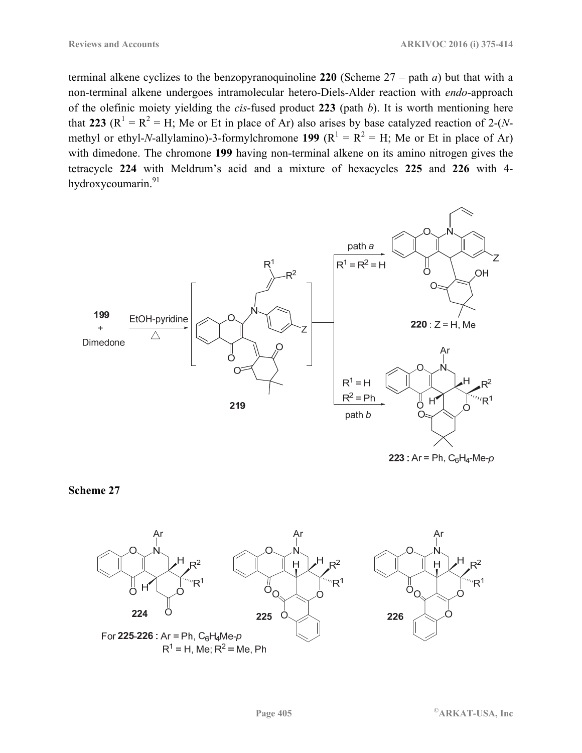terminal alkene cyclizes to the benzopyranoquinoline **220** (Scheme 27 – path *a*) but that with a non-terminal alkene undergoes intramolecular hetero-Diels-Alder reaction with *endo*-approach of the olefinic moiety yielding the *cis*-fused product **223** (path *b*). It is worth mentioning here that 223 ( $R^1 = R^2 = H$ ; Me or Et in place of Ar) also arises by base catalyzed reaction of 2-(*N*methyl or ethyl-*N*-allylamino)-3-formylchromone **199** ( $R^1 = R^2 = H$ ; Me or Et in place of Ar) with dimedone. The chromone **199** having non-terminal alkene on its amino nitrogen gives the tetracycle **224** with Meldrum's acid and a mixture of hexacycles **225** and **226** with 4 hydroxycoumarin.<sup>91</sup>

![](_page_30_Figure_3.jpeg)

223 :  $Ar = Ph$ ,  $C_6H_4$ -Me- $p$ 

**Scheme 27** 

![](_page_30_Figure_6.jpeg)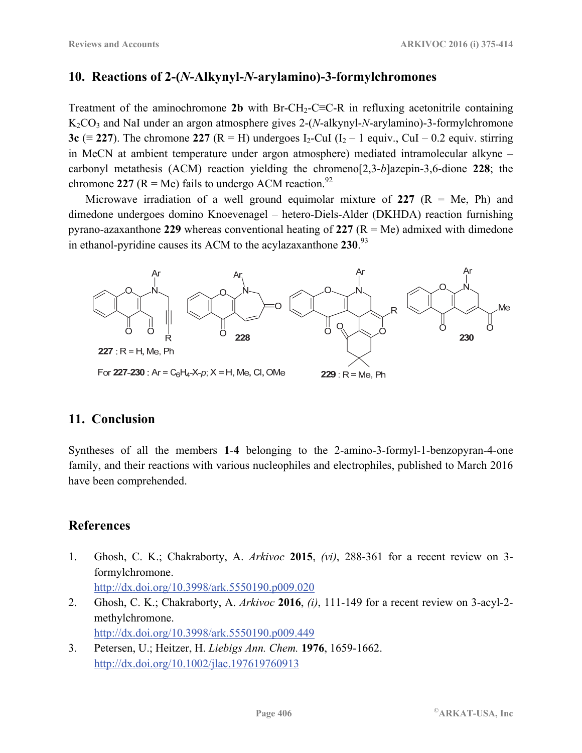## **10. Reactions of 2-(***N***-Alkynyl-***N***-arylamino)-3-formylchromones**

Treatment of the aminochromone 2b with Br-CH<sub>2</sub>-C≡C-R in refluxing acetonitrile containing K2CO3 and NaI under an argon atmosphere gives 2-(*N*-alkynyl-*N*-arylamino)-3-formylchromone **3c** ( $\equiv$  **227**). The chromone **227** ( $R = H$ ) undergoes I<sub>2</sub>-CuI (I<sub>2</sub> – 1 equiv., CuI – 0.2 equiv. stirring in MeCN at ambient temperature under argon atmosphere) mediated intramolecular alkyne – carbonyl metathesis (ACM) reaction yielding the chromeno[2,3-*b*]azepin-3,6-dione **228**; the chromone 227 ( $R = Me$ ) fails to undergo ACM reaction.<sup>92</sup>

Microwave irradiation of a well ground equimolar mixture of  $227 (R = Me, Ph)$  and dimedone undergoes domino Knoevenagel – hetero-Diels-Alder (DKHDA) reaction furnishing pyrano-azaxanthone 229 whereas conventional heating of  $227 (R = Me)$  admixed with dimedone in ethanol-pyridine causes its ACM to the acylazaxanthone **230**. 93

![](_page_31_Figure_5.jpeg)

## **11. Conclusion**

Syntheses of all the members **1**-**4** belonging to the 2-amino-3-formyl-1-benzopyran-4-one family, and their reactions with various nucleophiles and electrophiles, published to March 2016 have been comprehended.

## **References**

- 1. Ghosh, C. K.; Chakraborty, A. *Arkivoc* **2015**, *(vi)*, 288-361 for a recent review on 3 formylchromone. http://dx.doi.org/10.3998/ark.5550190.p009.020
- 2. Ghosh, C. K.; Chakraborty, A. *Arkivoc* **2016**, *(i)*, 111-149 for a recent review on 3-acyl-2 methylchromone. http://dx.doi.org/10.3998/ark.5550190.p009.449
- 3. Petersen, U.; Heitzer, H. *Liebigs Ann. Chem.* **1976**, 1659-1662. http://dx.doi.org/10.1002/jlac.197619760913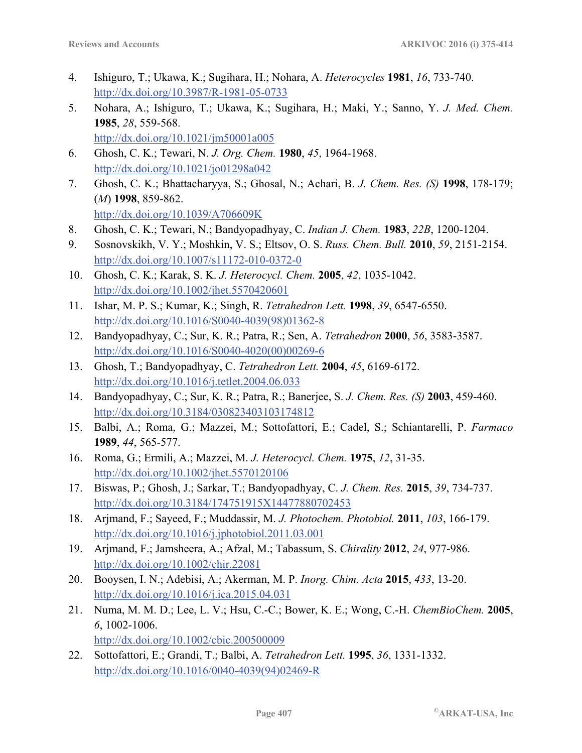- 4. Ishiguro, T.; Ukawa, K.; Sugihara, H.; Nohara, A. *Heterocycles* **1981**, *16*, 733-740. http://dx.doi.org/10.3987/R-1981-05-0733
- 5. Nohara, A.; Ishiguro, T.; Ukawa, K.; Sugihara, H.; Maki, Y.; Sanno, Y. *J. Med. Chem.* **1985**, *28*, 559-568. http://dx.doi.org/10.1021/jm50001a005
- 6. Ghosh, C. K.; Tewari, N. *J. Org. Chem.* **1980**, *45*, 1964-1968. http://dx.doi.org/10.1021/jo01298a042
- 7. Ghosh, C. K.; Bhattacharyya, S.; Ghosal, N.; Achari, B. *J. Chem. Res. (S)* **1998**, 178-179; (*M*) **1998**, 859-862. http://dx.doi.org/10.1039/A706609K
- 8. Ghosh, C. K.; Tewari, N.; Bandyopadhyay, C. *Indian J. Chem.* **1983**, *22B*, 1200-1204.
- 9. Sosnovskikh, V. Y.; Moshkin, V. S.; Eltsov, O. S. *Russ. Chem. Bull.* **2010**, *59*, 2151-2154. http://dx.doi.org/10.1007/s11172-010-0372-0
- 10. Ghosh, C. K.; Karak, S. K. *J. Heterocycl. Chem.* **2005**, *42*, 1035-1042. http://dx.doi.org/10.1002/jhet.5570420601
- 11. Ishar, M. P. S.; Kumar, K.; Singh, R. *Tetrahedron Lett.* **1998**, *39*, 6547-6550. http://dx.doi.org/10.1016/S0040-4039(98)01362-8
- 12. Bandyopadhyay, C.; Sur, K. R.; Patra, R.; Sen, A. *Tetrahedron* **2000**, *56*, 3583-3587. http://dx.doi.org/10.1016/S0040-4020(00)00269-6
- 13. Ghosh, T.; Bandyopadhyay, C. *Tetrahedron Lett.* **2004**, *45*, 6169-6172. http://dx.doi.org/10.1016/j.tetlet.2004.06.033
- 14. Bandyopadhyay, C.; Sur, K. R.; Patra, R.; Banerjee, S. *J. Chem. Res. (S)* **2003**, 459-460. http://dx.doi.org/10.3184/030823403103174812
- 15. Balbi, A.; Roma, G.; Mazzei, M.; Sottofattori, E.; Cadel, S.; Schiantarelli, P. *Farmaco* **1989**, *44*, 565-577.
- 16. Roma, G.; Ermili, A.; Mazzei, M. *J. Heterocycl. Chem.* **1975**, *12*, 31-35. http://dx.doi.org/10.1002/jhet.5570120106
- 17. Biswas, P.; Ghosh, J.; Sarkar, T.; Bandyopadhyay, C. *J. Chem. Res.* **2015**, *39*, 734-737. http://dx.doi.org/10.3184/174751915X14477880702453
- 18. Arjmand, F.; Sayeed, F.; Muddassir, M. *J. Photochem. Photobiol.* **2011**, *103*, 166-179. http://dx.doi.org/10.1016/j.jphotobiol.2011.03.001
- 19. Arjmand, F.; Jamsheera, A.; Afzal, M.; Tabassum, S. *Chirality* **2012**, *24*, 977-986. http://dx.doi.org/10.1002/chir.22081
- 20. Booysen, I. N.; Adebisi, A.; Akerman, M. P. *Inorg. Chim. Acta* **2015**, *433*, 13-20. http://dx.doi.org/10.1016/j.ica.2015.04.031
- 21. Numa, M. M. D.; Lee, L. V.; Hsu, C.-C.; Bower, K. E.; Wong, C.-H. *ChemBioChem.* **2005**, *6*, 1002-1006. http://dx.doi.org/10.1002/cbic.200500009
- 22. Sottofattori, E.; Grandi, T.; Balbi, A. *Tetrahedron Lett.* **1995**, *36*, 1331-1332. http://dx.doi.org/10.1016/0040-4039(94)02469-R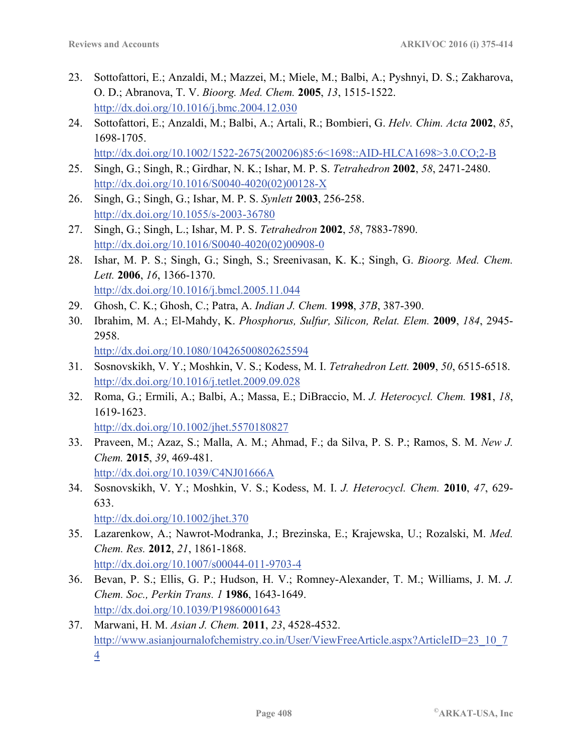- 23. Sottofattori, E.; Anzaldi, M.; Mazzei, M.; Miele, M.; Balbi, A.; Pyshnyi, D. S.; Zakharova, O. D.; Abranova, T. V. *Bioorg. Med. Chem.* **2005**, *13*, 1515-1522. http://dx.doi.org/10.1016/j.bmc.2004.12.030
- 24. Sottofattori, E.; Anzaldi, M.; Balbi, A.; Artali, R.; Bombieri, G. *Helv. Chim. Acta* **2002**, *85*, 1698-1705. http://dx.doi.org/10.1002/1522-2675(200206)85:6<1698::AID-HLCA1698>3.0.CO;2-B
- 25. Singh, G.; Singh, R.; Girdhar, N. K.; Ishar, M. P. S. *Tetrahedron* **2002**, *58*, 2471-2480. http://dx.doi.org/10.1016/S0040-4020(02)00128-X
- 26. Singh, G.; Singh, G.; Ishar, M. P. S. *Synlett* **2003**, 256-258. http://dx.doi.org/10.1055/s-2003-36780
- 27. Singh, G.; Singh, L.; Ishar, M. P. S. *Tetrahedron* **2002**, *58*, 7883-7890. http://dx.doi.org/10.1016/S0040-4020(02)00908-0
- 28. Ishar, M. P. S.; Singh, G.; Singh, S.; Sreenivasan, K. K.; Singh, G. *Bioorg. Med. Chem. Lett.* **2006**, *16*, 1366-1370. http://dx.doi.org/10.1016/j.bmcl.2005.11.044
- 29. Ghosh, C. K.; Ghosh, C.; Patra, A. *Indian J. Chem.* **1998**, *37B*, 387-390.
- 30. Ibrahim, M. A.; El-Mahdy, K. *Phosphorus, Sulfur, Silicon, Relat. Elem.* **2009**, *184*, 2945- 2958. http://dx.doi.org/10.1080/10426500802625594
- 31. Sosnovskikh, V. Y.; Moshkin, V. S.; Kodess, M. I. *Tetrahedron Lett.* **2009**, *50*, 6515-6518. http://dx.doi.org/10.1016/j.tetlet.2009.09.028
- 32. Roma, G.; Ermili, A.; Balbi, A.; Massa, E.; DiBraccio, M. *J. Heterocycl. Chem.* **1981**, *18*, 1619-1623. http://dx.doi.org/10.1002/jhet.5570180827
- 33. Praveen, M.; Azaz, S.; Malla, A. M.; Ahmad, F.; da Silva, P. S. P.; Ramos, S. M. *New J. Chem.* **2015**, *39*, 469-481. http://dx.doi.org/10.1039/C4NJ01666A
- 34. Sosnovskikh, V. Y.; Moshkin, V. S.; Kodess, M. I. *J. Heterocycl. Chem.* **2010**, *47*, 629- 633.
	- http://dx.doi.org/10.1002/jhet.370
- 35. Lazarenkow, A.; Nawrot-Modranka, J.; Brezinska, E.; Krajewska, U.; Rozalski, M. *Med. Chem. Res.* **2012**, *21*, 1861-1868. http://dx.doi.org/10.1007/s00044-011-9703-4
- 36. Bevan, P. S.; Ellis, G. P.; Hudson, H. V.; Romney-Alexander, T. M.; Williams, J. M. *J. Chem. Soc., Perkin Trans. 1* **1986**, 1643-1649. http://dx.doi.org/10.1039/P19860001643
- 37. Marwani, H. M. *Asian J. Chem.* **2011**, *23*, 4528-4532. http://www.asianjournalofchemistry.co.in/User/ViewFreeArticle.aspx?ArticleID=23\_10\_7 4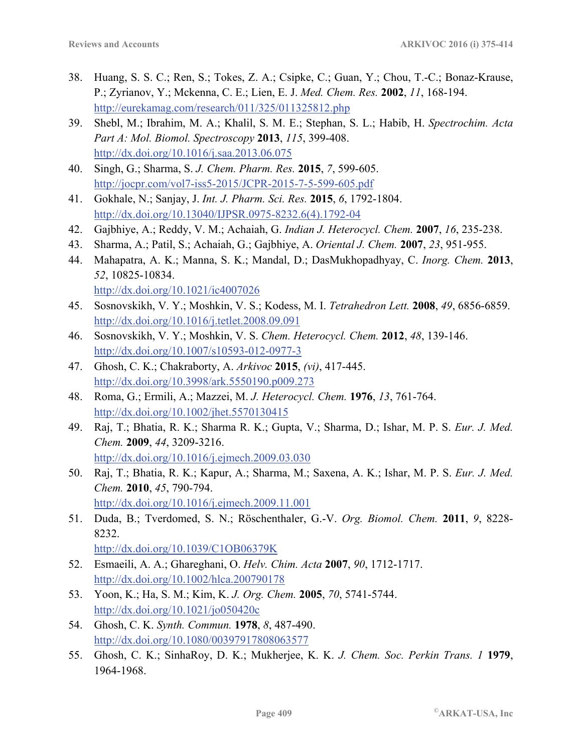- 38. Huang, S. S. C.; Ren, S.; Tokes, Z. A.; Csipke, C.; Guan, Y.; Chou, T.-C.; Bonaz-Krause, P.; Zyrianov, Y.; Mckenna, C. E.; Lien, E. J. *Med. Chem. Res.* **2002**, *11*, 168-194. http://eurekamag.com/research/011/325/011325812.php
- 39. Shebl, M.; Ibrahim, M. A.; Khalil, S. M. E.; Stephan, S. L.; Habib, H. *Spectrochim. Acta Part A: Mol. Biomol. Spectroscopy* **2013**, *115*, 399-408. http://dx.doi.org/10.1016/j.saa.2013.06.075
- 40. Singh, G.; Sharma, S. *J. Chem. Pharm. Res.* **2015**, *7*, 599-605. http://jocpr.com/vol7-iss5-2015/JCPR-2015-7-5-599-605.pdf
- 41. Gokhale, N.; Sanjay, J. *Int. J. Pharm. Sci. Res.* **2015**, *6*, 1792-1804. http://dx.doi.org/10.13040/IJPSR.0975-8232.6(4).1792-04
- 42. Gajbhiye, A.; Reddy, V. M.; Achaiah, G. *Indian J. Heterocycl. Chem.* **2007**, *16*, 235-238.
- 43. Sharma, A.; Patil, S.; Achaiah, G.; Gajbhiye, A. *Oriental J. Chem.* **2007**, *23*, 951-955.
- 44. Mahapatra, A. K.; Manna, S. K.; Mandal, D.; DasMukhopadhyay, C. *Inorg. Chem.* **2013**, *52*, 10825-10834. http://dx.doi.org/10.1021/ic4007026
- 45. Sosnovskikh, V. Y.; Moshkin, V. S.; Kodess, M. I. *Tetrahedron Lett.* **2008**, *49*, 6856-6859. http://dx.doi.org/10.1016/j.tetlet.2008.09.091
- 46. Sosnovskikh, V. Y.; Moshkin, V. S. *Chem. Heterocycl. Chem.* **2012**, *48*, 139-146. http://dx.doi.org/10.1007/s10593-012-0977-3
- 47. Ghosh, C. K.; Chakraborty, A. *Arkivoc* **2015**, *(vi)*, 417-445. http://dx.doi.org/10.3998/ark.5550190.p009.273
- 48. Roma, G.; Ermili, A.; Mazzei, M. *J. Heterocycl. Chem.* **1976**, *13*, 761-764. http://dx.doi.org/10.1002/jhet.5570130415
- 49. Raj, T.; Bhatia, R. K.; Sharma R. K.; Gupta, V.; Sharma, D.; Ishar, M. P. S. *Eur. J. Med. Chem.* **2009**, *44*, 3209-3216. http://dx.doi.org/10.1016/j.ejmech.2009.03.030
- 50. Raj, T.; Bhatia, R. K.; Kapur, A.; Sharma, M.; Saxena, A. K.; Ishar, M. P. S. *Eur. J. Med. Chem.* **2010**, *45*, 790-794. http://dx.doi.org/10.1016/j.ejmech.2009.11.001
- 51. Duda, B.; Tverdomed, S. N.; Röschenthaler, G.-V. *Org. Biomol. Chem.* **2011**, *9*, 8228- 8232. http://dx.doi.org/10.1039/C1OB06379K
- 52. Esmaeili, A. A.; Ghareghani, O. *Helv. Chim. Acta* **2007**, *90*, 1712-1717. http://dx.doi.org/10.1002/hlca.200790178
- 53. Yoon, K.; Ha, S. M.; Kim, K. *J. Org. Chem.* **2005**, *70*, 5741-5744. http://dx.doi.org/10.1021/jo050420c
- 54. Ghosh, C. K. *Synth. Commun.* **1978**, *8*, 487-490. http://dx.doi.org/10.1080/00397917808063577
- 55. Ghosh, C. K.; SinhaRoy, D. K.; Mukherjee, K. K. *J. Chem. Soc. Perkin Trans. 1* **1979**, 1964-1968.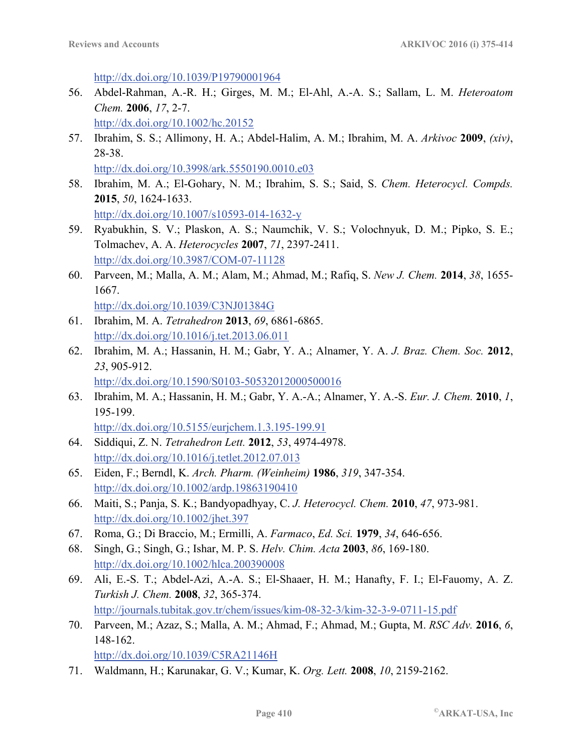http://dx.doi.org/10.1039/P19790001964

56. Abdel-Rahman, A.-R. H.; Girges, M. M.; El-Ahl, A.-A. S.; Sallam, L. M. *Heteroatom Chem.* **2006**, *17*, 2-7.

http://dx.doi.org/10.1002/hc.20152

57. Ibrahim, S. S.; Allimony, H. A.; Abdel-Halim, A. M.; Ibrahim, M. A. *Arkivoc* **2009**, *(xiv)*, 28-38.

http://dx.doi.org/10.3998/ark.5550190.0010.e03

- 58. Ibrahim, M. A.; El-Gohary, N. M.; Ibrahim, S. S.; Said, S. *Chem. Heterocycl. Compds.* **2015**, *50*, 1624-1633. http://dx.doi.org/10.1007/s10593-014-1632-y
- 59. Ryabukhin, S. V.; Plaskon, A. S.; Naumchik, V. S.; Volochnyuk, D. M.; Pipko, S. E.; Tolmachev, A. A. *Heterocycles* **2007**, *71*, 2397-2411. http://dx.doi.org/10.3987/COM-07-11128
- 60. Parveen, M.; Malla, A. M.; Alam, M.; Ahmad, M.; Rafiq, S. *New J. Chem.* **2014**, *38*, 1655- 1667. http://dx.doi.org/10.1039/C3NJ01384G
- 61. Ibrahim, M. A. *Tetrahedron* **2013**, *69*, 6861-6865. http://dx.doi.org/10.1016/j.tet.2013.06.011
- 62. Ibrahim, M. A.; Hassanin, H. M.; Gabr, Y. A.; Alnamer, Y. A. *J. Braz. Chem. Soc.* **2012**, *23*, 905-912. http://dx.doi.org/10.1590/S0103-50532012000500016
- 63. Ibrahim, M. A.; Hassanin, H. M.; Gabr, Y. A.-A.; Alnamer, Y. A.-S. *Eur. J. Chem.* **2010**, *1*, 195-199. http://dx.doi.org/10.5155/eurjchem.1.3.195‐199.91

64. Siddiqui, Z. N. *Tetrahedron Lett.* **2012**, *53*, 4974-4978.

- http://dx.doi.org/10.1016/j.tetlet.2012.07.013
- 65. Eiden, F.; Berndl, K. *Arch. Pharm. (Weinheim)* **1986**, *319*, 347-354. http://dx.doi.org/10.1002/ardp.19863190410
- 66. Maiti, S.; Panja, S. K.; Bandyopadhyay, C. *J. Heterocycl. Chem.* **2010**, *47*, 973-981. http://dx.doi.org/10.1002/jhet.397
- 67. Roma, G.; Di Braccio, M.; Ermilli, A. *Farmaco*, *Ed. Sci.* **1979**, *34*, 646-656.
- 68. Singh, G.; Singh, G.; Ishar, M. P. S. *Helv. Chim. Acta* **2003**, *86*, 169-180. http://dx.doi.org/10.1002/hlca.200390008
- 69. Ali, E.-S. T.; Abdel-Azi, A.-A. S.; El-Shaaer, H. M.; Hanafty, F. I.; El-Fauomy, A. Z. *Turkish J. Chem.* **2008**, *32*, 365-374. http://journals.tubitak.gov.tr/chem/issues/kim-08-32-3/kim-32-3-9-0711-15.pdf
- 70. Parveen, M.; Azaz, S.; Malla, A. M.; Ahmad, F.; Ahmad, M.; Gupta, M. *RSC Adv.* **2016**, *6*, 148-162. http://dx.doi.org/10.1039/C5RA21146H
- 71. Waldmann, H.; Karunakar, G. V.; Kumar, K. *Org. Lett.* **2008**, *10*, 2159-2162.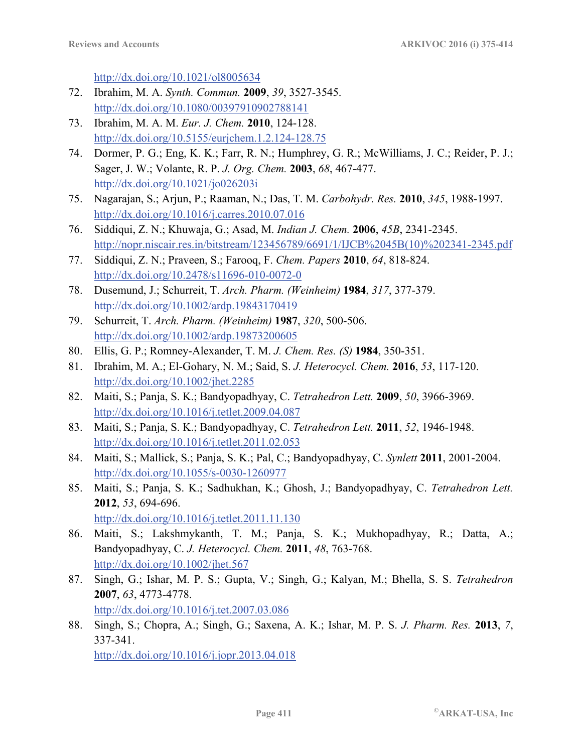http://dx.doi.org/10.1021/ol8005634

- 72. Ibrahim, M. A. *Synth. Commun.* **2009**, *39*, 3527-3545. http://dx.doi.org/10.1080/00397910902788141
- 73. Ibrahim, M. A. M. *Eur. J. Chem.* **2010**, 124-128. http://dx.doi.org/10.5155/eurjchem.1.2.124-128.75
- 74. Dormer, P. G.; Eng, K. K.; Farr, R. N.; Humphrey, G. R.; McWilliams, J. C.; Reider, P. J.; Sager, J. W.; Volante, R. P. *J. Org. Chem.* **2003**, *68*, 467-477. http://dx.doi.org/10.1021/jo026203i
- 75. Nagarajan, S.; Arjun, P.; Raaman, N.; Das, T. M. *Carbohydr. Res.* **2010**, *345*, 1988-1997. http://dx.doi.org/10.1016/j.carres.2010.07.016
- 76. Siddiqui, Z. N.; Khuwaja, G.; Asad, M. *Indian J. Chem.* **2006**, *45B*, 2341-2345. http://nopr.niscair.res.in/bitstream/123456789/6691/1/IJCB%2045B(10)%202341-2345.pdf
- 77. Siddiqui, Z. N.; Praveen, S.; Farooq, F. *Chem. Papers* **2010**, *64*, 818-824. http://dx.doi.org/10.2478/s11696-010-0072-0
- 78. Dusemund, J.; Schurreit, T. *Arch. Pharm. (Weinheim)* **1984**, *317*, 377-379. http://dx.doi.org/10.1002/ardp.19843170419
- 79. Schurreit, T. *Arch. Pharm. (Weinheim)* **1987**, *320*, 500-506. http://dx.doi.org/10.1002/ardp.19873200605
- 80. Ellis, G. P.; Romney-Alexander, T. M. *J. Chem. Res. (S)* **1984**, 350-351.
- 81. Ibrahim, M. A.; El-Gohary, N. M.; Said, S. *J. Heterocycl. Chem.* **2016**, *53*, 117-120. http://dx.doi.org/10.1002/jhet.2285
- 82. Maiti, S.; Panja, S. K.; Bandyopadhyay, C. *Tetrahedron Lett.* **2009**, *50*, 3966-3969. http://dx.doi.org/10.1016/j.tetlet.2009.04.087
- 83. Maiti, S.; Panja, S. K.; Bandyopadhyay, C. *Tetrahedron Lett.* **2011**, *52*, 1946-1948. http://dx.doi.org/10.1016/j.tetlet.2011.02.053
- 84. Maiti, S.; Mallick, S.; Panja, S. K.; Pal, C.; Bandyopadhyay, C. *Synlett* **2011**, 2001-2004. http://dx.doi.org/10.1055/s-0030-1260977
- 85. Maiti, S.; Panja, S. K.; Sadhukhan, K.; Ghosh, J.; Bandyopadhyay, C. *Tetrahedron Lett.* **2012**, *53*, 694-696. http://dx.doi.org/10.1016/j.tetlet.2011.11.130
- 86. Maiti, S.; Lakshmykanth, T. M.; Panja, S. K.; Mukhopadhyay, R.; Datta, A.; Bandyopadhyay, C. *J. Heterocycl. Chem.* **2011**, *48*, 763-768. http://dx.doi.org/10.1002/jhet.567
- 87. Singh, G.; Ishar, M. P. S.; Gupta, V.; Singh, G.; Kalyan, M.; Bhella, S. S. *Tetrahedron* **2007**, *63*, 4773-4778. http://dx.doi.org/10.1016/j.tet.2007.03.086
- 88. Singh, S.; Chopra, A.; Singh, G.; Saxena, A. K.; Ishar, M. P. S. *J. Pharm. Res.* **2013**, *7*, 337-341.

http://dx.doi.org/10.1016/j.jopr.2013.04.018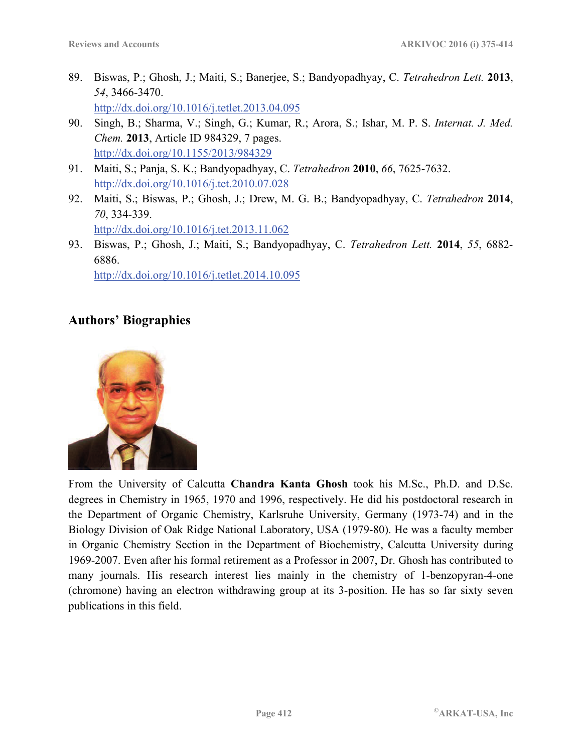- 89. Biswas, P.; Ghosh, J.; Maiti, S.; Banerjee, S.; Bandyopadhyay, C. *Tetrahedron Lett.* **2013**, *54*, 3466-3470. http://dx.doi.org/10.1016/j.tetlet.2013.04.095
- 90. Singh, B.; Sharma, V.; Singh, G.; Kumar, R.; Arora, S.; Ishar, M. P. S. *Internat. J. Med. Chem.* **2013**, Article ID 984329, 7 pages. http://dx.doi.org/10.1155/2013/984329
- 91. Maiti, S.; Panja, S. K.; Bandyopadhyay, C. *Tetrahedron* **2010**, *66*, 7625-7632. http://dx.doi.org/10.1016/j.tet.2010.07.028
- 92. Maiti, S.; Biswas, P.; Ghosh, J.; Drew, M. G. B.; Bandyopadhyay, C. *Tetrahedron* **2014**, *70*, 334-339. http://dx.doi.org/10.1016/j.tet.2013.11.062
- 93. Biswas, P.; Ghosh, J.; Maiti, S.; Bandyopadhyay, C. *Tetrahedron Lett.* **2014**, *55*, 6882- 6886.

http://dx.doi.org/10.1016/j.tetlet.2014.10.095

## **Authors' Biographies**

![](_page_37_Picture_9.jpeg)

From the University of Calcutta **Chandra Kanta Ghosh** took his M.Sc., Ph.D. and D.Sc. degrees in Chemistry in 1965, 1970 and 1996, respectively. He did his postdoctoral research in the Department of Organic Chemistry, Karlsruhe University, Germany (1973-74) and in the Biology Division of Oak Ridge National Laboratory, USA (1979-80). He was a faculty member in Organic Chemistry Section in the Department of Biochemistry, Calcutta University during 1969-2007. Even after his formal retirement as a Professor in 2007, Dr. Ghosh has contributed to many journals. His research interest lies mainly in the chemistry of 1-benzopyran-4-one (chromone) having an electron withdrawing group at its 3-position. He has so far sixty seven publications in this field.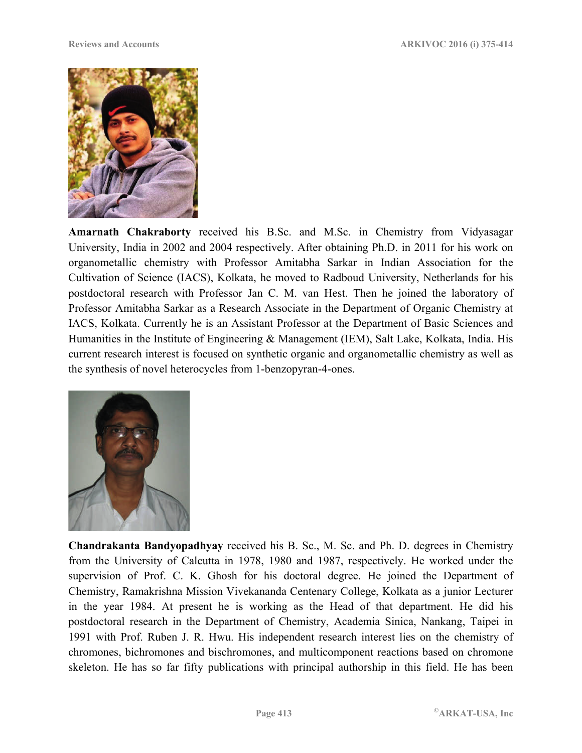![](_page_38_Picture_2.jpeg)

**Amarnath Chakraborty** received his B.Sc. and M.Sc. in Chemistry from Vidyasagar University, India in 2002 and 2004 respectively. After obtaining Ph.D. in 2011 for his work on organometallic chemistry with Professor Amitabha Sarkar in Indian Association for the Cultivation of Science (IACS), Kolkata, he moved to Radboud University, Netherlands for his postdoctoral research with Professor Jan C. M. van Hest. Then he joined the laboratory of Professor Amitabha Sarkar as a Research Associate in the Department of Organic Chemistry at IACS, Kolkata. Currently he is an Assistant Professor at the Department of Basic Sciences and Humanities in the Institute of Engineering & Management (IEM), Salt Lake, Kolkata, India. His current research interest is focused on synthetic organic and organometallic chemistry as well as the synthesis of novel heterocycles from 1-benzopyran-4-ones.

![](_page_38_Picture_4.jpeg)

**Chandrakanta Bandyopadhyay** received his B. Sc., M. Sc. and Ph. D. degrees in Chemistry from the University of Calcutta in 1978, 1980 and 1987, respectively. He worked under the supervision of Prof. C. K. Ghosh for his doctoral degree. He joined the Department of Chemistry, Ramakrishna Mission Vivekananda Centenary College, Kolkata as a junior Lecturer in the year 1984. At present he is working as the Head of that department. He did his postdoctoral research in the Department of Chemistry, Academia Sinica, Nankang, Taipei in 1991 with Prof. Ruben J. R. Hwu. His independent research interest lies on the chemistry of chromones, bichromones and bischromones, and multicomponent reactions based on chromone skeleton. He has so far fifty publications with principal authorship in this field. He has been